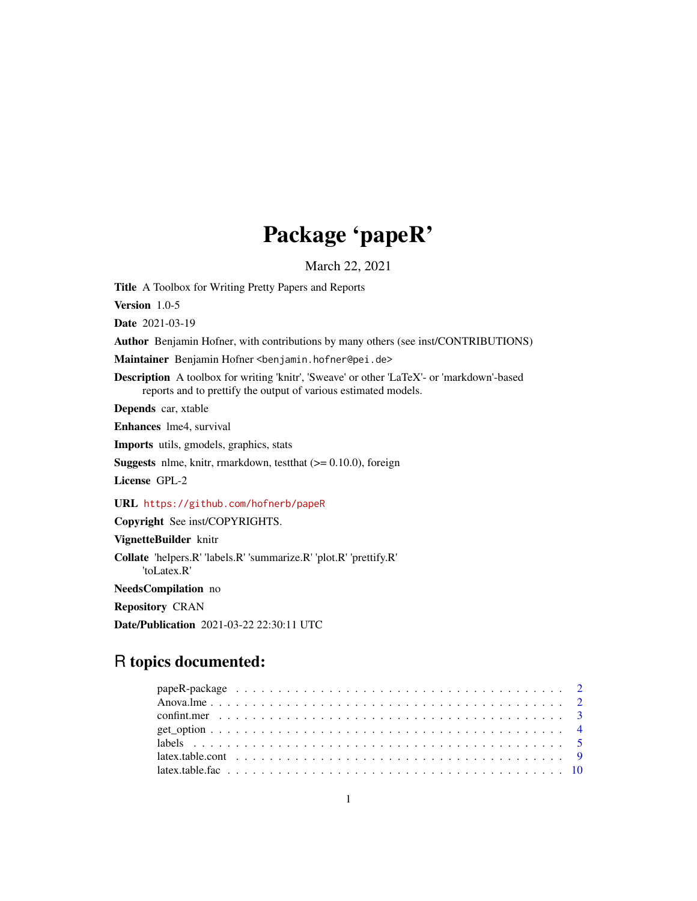## Package 'papeR'

March 22, 2021

<span id="page-0-0"></span>Title A Toolbox for Writing Pretty Papers and Reports

Version 1.0-5

Date 2021-03-19

Author Benjamin Hofner, with contributions by many others (see inst/CONTRIBUTIONS)

Maintainer Benjamin Hofner <benjamin.hofner@pei.de>

Description A toolbox for writing 'knitr', 'Sweave' or other 'LaTeX'- or 'markdown'-based reports and to prettify the output of various estimated models.

Depends car, xtable

Enhances lme4, survival

Imports utils, gmodels, graphics, stats

**Suggests** nlme, knitr, rmarkdown, test that  $(>= 0.10.0)$ , foreign

License GPL-2

URL <https://github.com/hofnerb/papeR>

Copyright See inst/COPYRIGHTS.

VignetteBuilder knitr

Collate 'helpers.R' 'labels.R' 'summarize.R' 'plot.R' 'prettify.R' 'toLatex.R'

NeedsCompilation no

Repository CRAN

Date/Publication 2021-03-22 22:30:11 UTC

## R topics documented: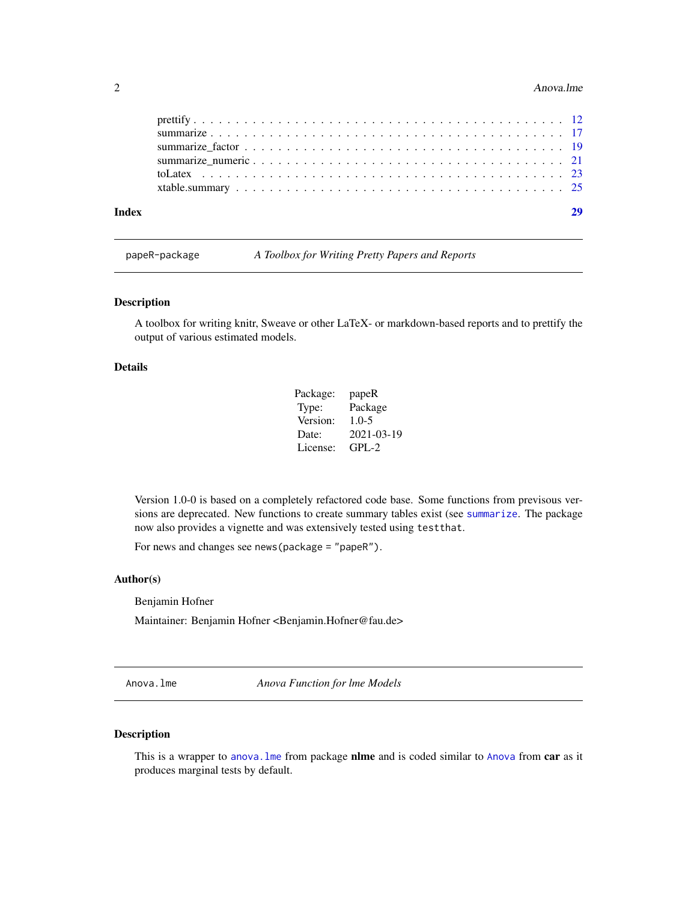#### <span id="page-1-0"></span>2 Anova.lme

| Index |  |
|-------|--|
|       |  |
|       |  |
|       |  |

papeR-package *A Toolbox for Writing Pretty Papers and Reports*

#### Description

A toolbox for writing knitr, Sweave or other LaTeX- or markdown-based reports and to prettify the output of various estimated models.

### Details

| Package: | papeR      |
|----------|------------|
| Type:    | Package    |
| Version: | $1.0 - 5$  |
| Date:    | 2021-03-19 |
| License: | $GPI - 2$  |

Version 1.0-0 is based on a completely refactored code base. Some functions from previsous versions are deprecated. New functions to create summary tables exist (see [summarize](#page-16-1). The package now also provides a vignette and was extensively tested using testthat.

For news and changes see news(package = "papeR").

#### Author(s)

Benjamin Hofner

Maintainer: Benjamin Hofner <Benjamin.Hofner@fau.de>

Anova.lme *Anova Function for lme Models*

#### Description

This is a wrapper to anova. Ime from package nlme and is coded similar to [Anova](#page-0-0) from car as it produces marginal tests by default.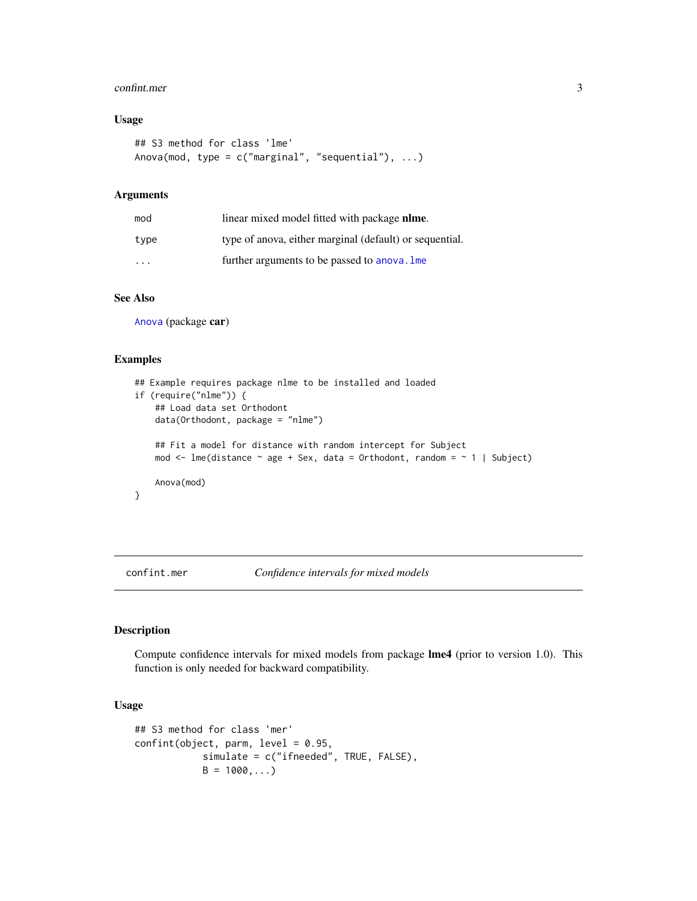#### <span id="page-2-0"></span>confint.mer 3

## Usage

```
## S3 method for class 'lme'
Anova(mod, type = c("marginal", "sequential"), ...)
```
#### Arguments

| mod  | linear mixed model fitted with package nlme.            |
|------|---------------------------------------------------------|
| type | type of anova, either marginal (default) or sequential. |
| .    | further arguments to be passed to anova. Ime            |

## See Also

[Anova](#page-0-0) (package car)

#### Examples

```
## Example requires package nlme to be installed and loaded
if (require("nlme")) {
    ## Load data set Orthodont
    data(Orthodont, package = "nlme")
    ## Fit a model for distance with random intercept for Subject
   mod \le - lme(distance \sim age + Sex, data = Orthodont, random = \sim 1 | Subject)
    Anova(mod)
}
```
<span id="page-2-1"></span>confint.mer *Confidence intervals for mixed models*

#### Description

Compute confidence intervals for mixed models from package lme4 (prior to version 1.0). This function is only needed for backward compatibility.

#### Usage

```
## S3 method for class 'mer'
confint(object, parm, level = 0.95,simulate = c("ifneeded", TRUE, FALSE),
           B = 1000, ...
```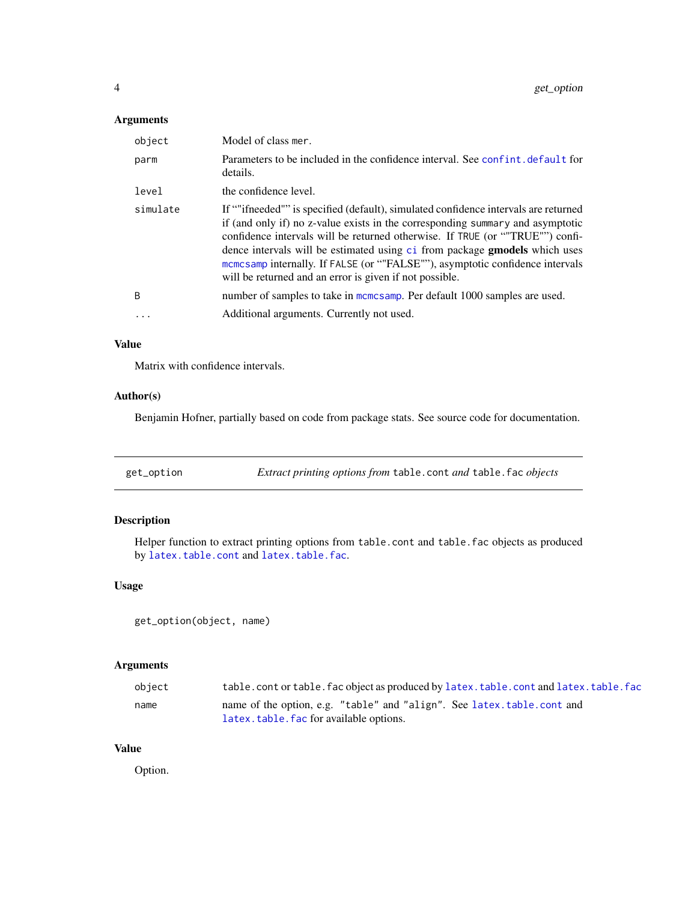## <span id="page-3-0"></span>Arguments

| object       | Model of class mer.                                                                                                                                                                                                                                                                                                                                                                                                                                                                     |
|--------------|-----------------------------------------------------------------------------------------------------------------------------------------------------------------------------------------------------------------------------------------------------------------------------------------------------------------------------------------------------------------------------------------------------------------------------------------------------------------------------------------|
| parm         | Parameters to be included in the confidence interval. See confint, default for<br>details.                                                                                                                                                                                                                                                                                                                                                                                              |
| level        | the confidence level.                                                                                                                                                                                                                                                                                                                                                                                                                                                                   |
| simulate     | If ""ifneeded"" is specified (default), simulated confidence intervals are returned<br>if (and only if) no z-value exists in the corresponding summary and asymptotic<br>confidence intervals will be returned otherwise. If TRUE (or ""TRUE"") confi-<br>dence intervals will be estimated using ci from package <b>gmodels</b> which uses<br>memesamp internally. If FALSE (or ""FALSE""), asymptotic confidence intervals<br>will be returned and an error is given if not possible. |
| <sub>B</sub> | number of samples to take in mcmcsamp. Per default 1000 samples are used.                                                                                                                                                                                                                                                                                                                                                                                                               |
|              | Additional arguments. Currently not used.                                                                                                                                                                                                                                                                                                                                                                                                                                               |

## Value

Matrix with confidence intervals.

### Author(s)

Benjamin Hofner, partially based on code from package stats. See source code for documentation.

<span id="page-3-1"></span>

| get_option | Extract printing options from table.cont and table.fac objects |  |  |
|------------|----------------------------------------------------------------|--|--|
|------------|----------------------------------------------------------------|--|--|

## Description

Helper function to extract printing options from table.cont and table.fac objects as produced by [latex.table.cont](#page-8-1) and [latex.table.fac](#page-9-1).

## Usage

get\_option(object, name)

## Arguments

| object | table.cont or table.fac object as produced by latex.table.cont and latex.table.fac |
|--------|------------------------------------------------------------------------------------|
| name   | name of the option, e.g. "table" and "align". See latex.table.cont and             |
|        | latex.table.fac for available options.                                             |

## Value

Option.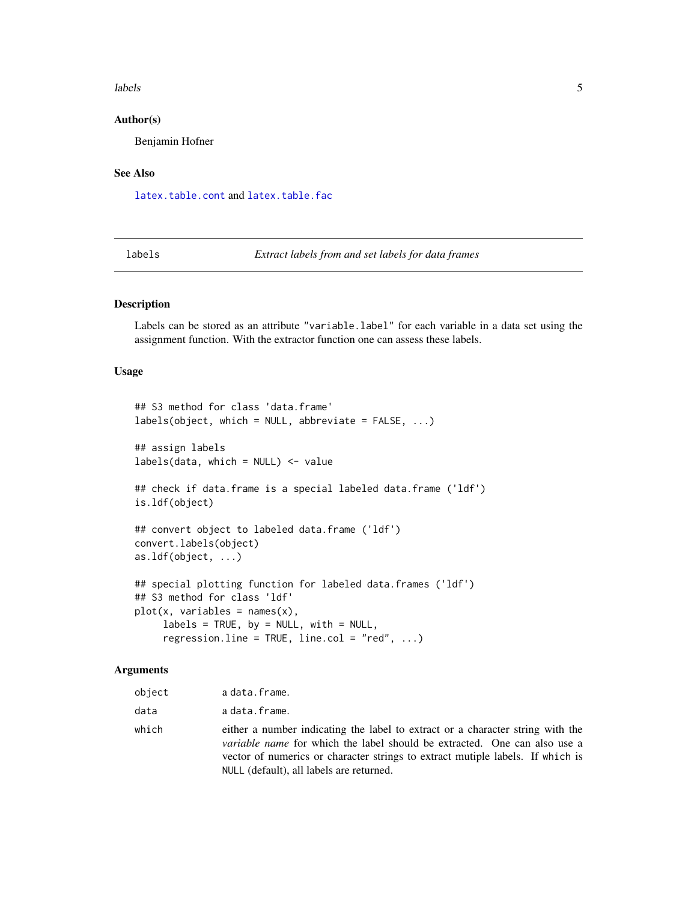#### <span id="page-4-0"></span>labels 5

#### Author(s)

Benjamin Hofner

#### See Also

[latex.table.cont](#page-8-1) and [latex.table.fac](#page-9-1)

<span id="page-4-1"></span>labels *Extract labels from and set labels for data frames*

#### Description

Labels can be stored as an attribute "variable.label" for each variable in a data set using the assignment function. With the extractor function one can assess these labels.

#### Usage

```
## S3 method for class 'data.frame'
labels(object, which = NULL, abbreviate = FALSE, ...)## assign labels
labels(data, which = NULL) <- value
## check if data.frame is a special labeled data.frame ('ldf')
is.ldf(object)
## convert object to labeled data.frame ('ldf')
convert.labels(object)
as.ldf(object, ...)
## special plotting function for labeled data.frames ('ldf')
## S3 method for class 'ldf'
plot(x, variables = names(x),labels = TRUE, by = NULL, with = NULL,regression.line = TRUE, line.col = "red", \dots)
```
## Arguments

| object | a data.frame.                                                                                                                                                                                                                                                                                    |
|--------|--------------------------------------------------------------------------------------------------------------------------------------------------------------------------------------------------------------------------------------------------------------------------------------------------|
| data   | a data.frame.                                                                                                                                                                                                                                                                                    |
| which  | either a number indicating the label to extract or a character string with the<br><i>variable name</i> for which the label should be extracted. One can also use a<br>vector of numerics or character strings to extract mutiple labels. If which is<br>NULL (default), all labels are returned. |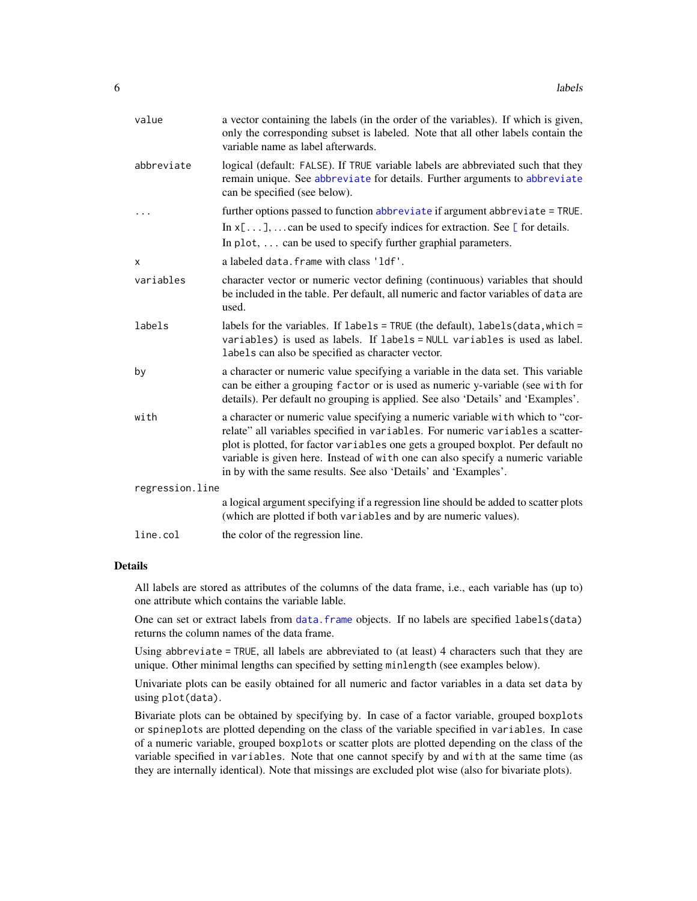<span id="page-5-0"></span>

| value           | a vector containing the labels (in the order of the variables). If which is given,<br>only the corresponding subset is labeled. Note that all other labels contain the<br>variable name as label afterwards.                                                                                                                                                                                               |
|-----------------|------------------------------------------------------------------------------------------------------------------------------------------------------------------------------------------------------------------------------------------------------------------------------------------------------------------------------------------------------------------------------------------------------------|
| abbreviate      | logical (default: FALSE). If TRUE variable labels are abbreviated such that they<br>remain unique. See abbreviate for details. Further arguments to abbreviate<br>can be specified (see below).                                                                                                                                                                                                            |
| $\cdots$        | further options passed to function abbreviate if argument abbreviate = TRUE.                                                                                                                                                                                                                                                                                                                               |
|                 | In $x[\dots], \dots$ can be used to specify indices for extraction. See [ for details.<br>In plot, $\dots$ can be used to specify further graphial parameters.                                                                                                                                                                                                                                             |
| X               | a labeled data. frame with class 'ldf'.                                                                                                                                                                                                                                                                                                                                                                    |
| variables       | character vector or numeric vector defining (continuous) variables that should<br>be included in the table. Per default, all numeric and factor variables of data are<br>used.                                                                                                                                                                                                                             |
| labels          | labels for the variables. If $labels = TRUE$ (the default), $labels(data, which =$<br>variables) is used as labels. If labels = NULL variables is used as label.<br>labels can also be specified as character vector.                                                                                                                                                                                      |
| by              | a character or numeric value specifying a variable in the data set. This variable<br>can be either a grouping factor or is used as numeric y-variable (see with for<br>details). Per default no grouping is applied. See also 'Details' and 'Examples'.                                                                                                                                                    |
| with            | a character or numeric value specifying a numeric variable with which to "cor-<br>relate" all variables specified in variables. For numeric variables a scatter-<br>plot is plotted, for factor variables one gets a grouped boxplot. Per default no<br>variable is given here. Instead of with one can also specify a numeric variable<br>in by with the same results. See also 'Details' and 'Examples'. |
| regression.line |                                                                                                                                                                                                                                                                                                                                                                                                            |
|                 | a logical argument specifying if a regression line should be added to scatter plots<br>(which are plotted if both variables and by are numeric values).                                                                                                                                                                                                                                                    |
| line.col        | the color of the regression line.                                                                                                                                                                                                                                                                                                                                                                          |

#### Details

All labels are stored as attributes of the columns of the data frame, i.e., each variable has (up to) one attribute which contains the variable lable.

One can set or extract labels from [data.frame](#page-0-0) objects. If no labels are specified labels(data) returns the column names of the data frame.

Using abbreviate = TRUE, all labels are abbreviated to (at least) 4 characters such that they are unique. Other minimal lengths can specified by setting minlength (see examples below).

Univariate plots can be easily obtained for all numeric and factor variables in a data set data by using plot(data).

Bivariate plots can be obtained by specifying by. In case of a factor variable, grouped boxplots or spineplots are plotted depending on the class of the variable specified in variables. In case of a numeric variable, grouped boxplots or scatter plots are plotted depending on the class of the variable specified in variables. Note that one cannot specify by and with at the same time (as they are internally identical). Note that missings are excluded plot wise (also for bivariate plots).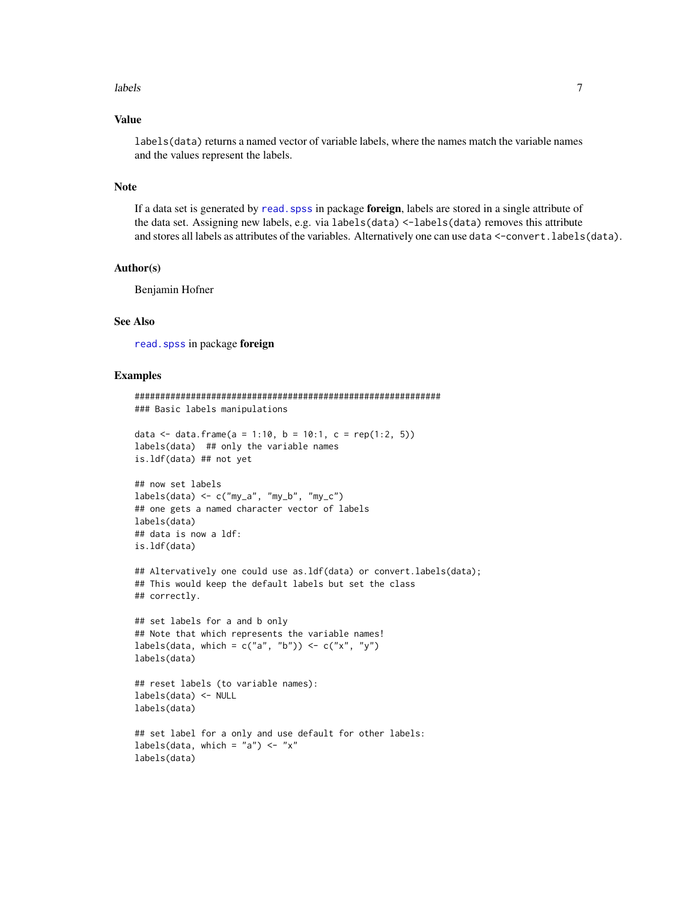#### <span id="page-6-0"></span>labels **2008** and 2008 and 2008 and 2008 and 2008 and 2008 and 2008 and 2008 and 2008 and 2008 and 2008 and 2008 and 2008 and 2008 and 2008 and 2008 and 2008 and 2008 and 2008 and 2008 and 2008 and 2008 and 2008 and 2008 a

### Value

labels(data) returns a named vector of variable labels, where the names match the variable names and the values represent the labels.

#### Note

If a data set is generated by read. spss in package foreign, labels are stored in a single attribute of the data set. Assigning new labels, e.g. via labels(data) <-labels(data) removes this attribute and stores all labels as attributes of the variables. Alternatively one can use data <-convert.labels(data).

#### Author(s)

Benjamin Hofner

#### See Also

[read.spss](#page-0-0) in package foreign

#### Examples

```
############################################################
### Basic labels manipulations
data <- data.frame(a = 1:10, b = 10:1, c = rep(1:2, 5))
labels(data) ## only the variable names
is.ldf(data) ## not yet
## now set labels
labels(data) \leq c("my_a", "my_b", "my_c")## one gets a named character vector of labels
labels(data)
## data is now a ldf:
is.ldf(data)
## Altervatively one could use as.ldf(data) or convert.labels(data);
## This would keep the default labels but set the class
## correctly.
## set labels for a and b only
## Note that which represents the variable names!
labels(data, which = c("a", "b")) <- c("x", "y")labels(data)
## reset labels (to variable names):
labels(data) <- NULL
labels(data)
## set label for a only and use default for other labels:
labels(data, which = "a") <- "x"
labels(data)
```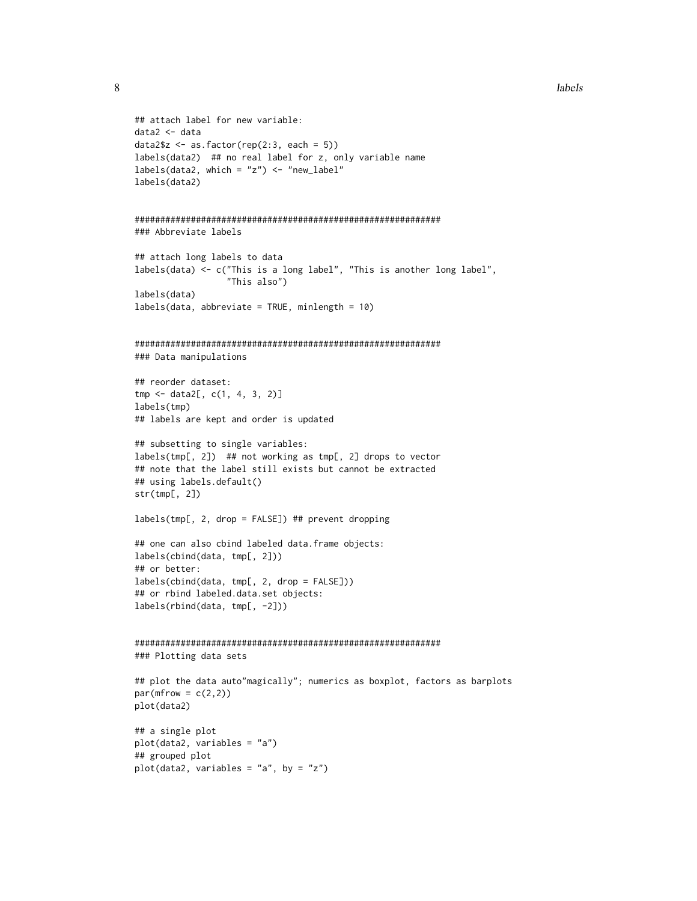```
8 labels and the contract of the contract of the contract of the contract of the contract of the contract of the contract of the contract of the contract of the contract of the contract of the contract of the contract of t
```

```
## attach label for new variable:
data2 <- data
data2$z <- as.factor(rep(2:3, each = 5))
labels(data2) ## no real label for z, only variable name
labels(data2, which = "z") <- "new_label"
labels(data2)
############################################################
### Abbreviate labels
## attach long labels to data
labels(data) <- c("This is a long label", "This is another long label",
                  "This also")
labels(data)
labels(data, abbreviate = TRUE, minlength = 10)
############################################################
### Data manipulations
## reorder dataset:
tmp <- data2[, c(1, 4, 3, 2)]
labels(tmp)
## labels are kept and order is updated
## subsetting to single variables:
labels(tmp[, 2]) ## not working as tmp[, 2] drops to vector
## note that the label still exists but cannot be extracted
## using labels.default()
str(tmp[, 2])
labels(tmp[, 2, drop = FALSE]) ## prevent dropping
## one can also cbind labeled data.frame objects:
labels(cbind(data, tmp[, 2]))
## or better:
labels(cbind(data, tmp[, 2, drop = FALSE]))
## or rbind labeled.data.set objects:
labels(rbind(data, tmp[, -2]))
############################################################
### Plotting data sets
## plot the data auto"magically"; numerics as boxplot, factors as barplots
par(mfrow = c(2,2))plot(data2)
## a single plot
plot(data2, variables = "a")
## grouped plot
plot(data2, variables = "a", by = "z")
```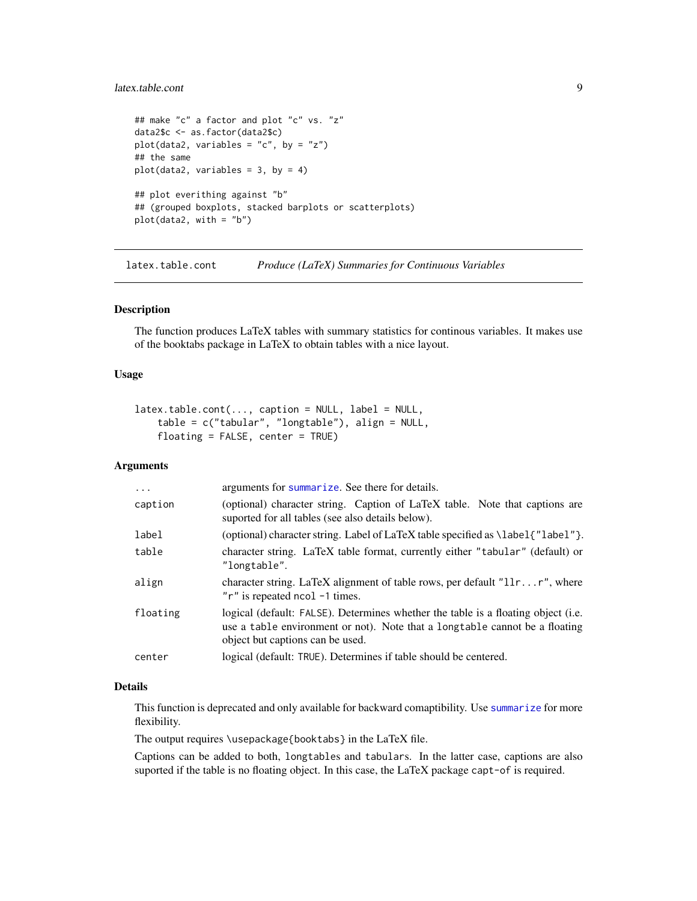#### <span id="page-8-0"></span>latex.table.cont 9

```
## make "c" a factor and plot "c" vs. "z"
data2$c <- as.factor(data2$c)
plot(data2, variables = "c", by = "z")
## the same
plot(data2, variables = 3, by = 4)## plot everithing against "b"
## (grouped boxplots, stacked barplots or scatterplots)
plot(data2, with = "b")
```
<span id="page-8-1"></span>latex.table.cont *Produce (LaTeX) Summaries for Continuous Variables*

#### Description

The function produces LaTeX tables with summary statistics for continous variables. It makes use of the booktabs package in LaTeX to obtain tables with a nice layout.

## Usage

```
\text{later.table.cont}(\ldots, \text{caption = NULL, label = NULL, }table = c("tabular", "longtable"), align = NULL,
    floating = FALSE, center = TRUE)
```
#### Arguments

#### Details

This function is deprecated and only available for backward comaptibility. Use [summarize](#page-16-1) for more flexibility.

The output requires \usepackage{booktabs} in the LaTeX file.

Captions can be added to both, longtables and tabulars. In the latter case, captions are also suported if the table is no floating object. In this case, the LaTeX package capt-of is required.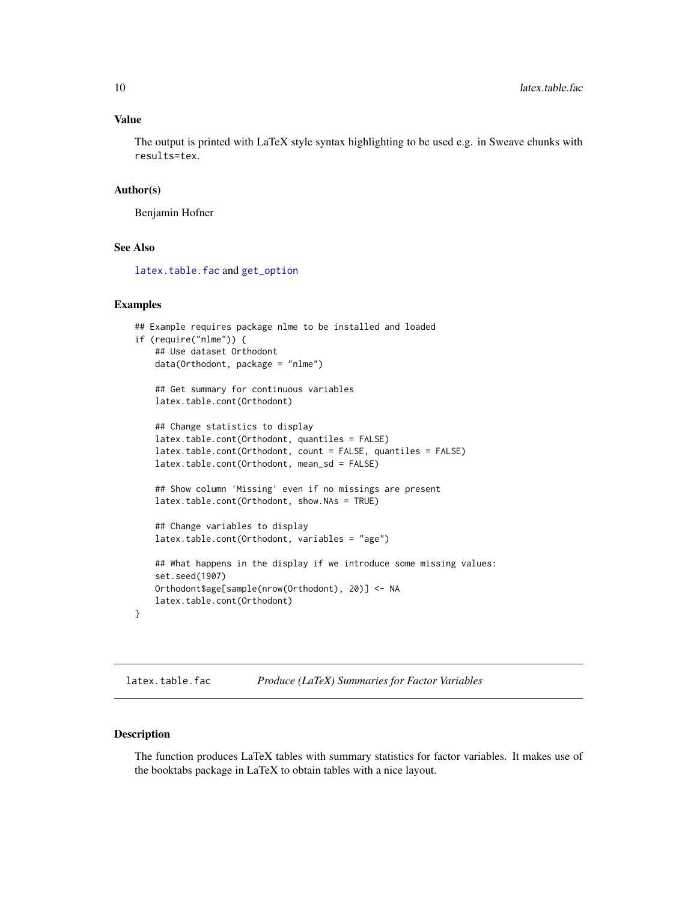#### <span id="page-9-0"></span>Value

The output is printed with LaTeX style syntax highlighting to be used e.g. in Sweave chunks with results=tex.

#### Author(s)

Benjamin Hofner

## See Also

[latex.table.fac](#page-9-1) and [get\\_option](#page-3-1)

#### Examples

```
## Example requires package nlme to be installed and loaded
if (require("nlme")) {
    ## Use dataset Orthodont
   data(Orthodont, package = "nlme")
    ## Get summary for continuous variables
   latex.table.cont(Orthodont)
    ## Change statistics to display
   latex.table.cont(Orthodont, quantiles = FALSE)
    latex.table.cont(Orthodont, count = FALSE, quantiles = FALSE)
   latex.table.cont(Orthodont, mean_sd = FALSE)
    ## Show column 'Missing' even if no missings are present
    latex.table.cont(Orthodont, show.NAs = TRUE)
    ## Change variables to display
   latex.table.cont(Orthodont, variables = "age")
    ## What happens in the display if we introduce some missing values:
    set.seed(1907)
    Orthodont$age[sample(nrow(Orthodont), 20)] <- NA
   latex.table.cont(Orthodont)
}
```

```
latex.table.fac Produce (LaTeX) Summaries for Factor Variables
```
#### Description

The function produces LaTeX tables with summary statistics for factor variables. It makes use of the booktabs package in LaTeX to obtain tables with a nice layout.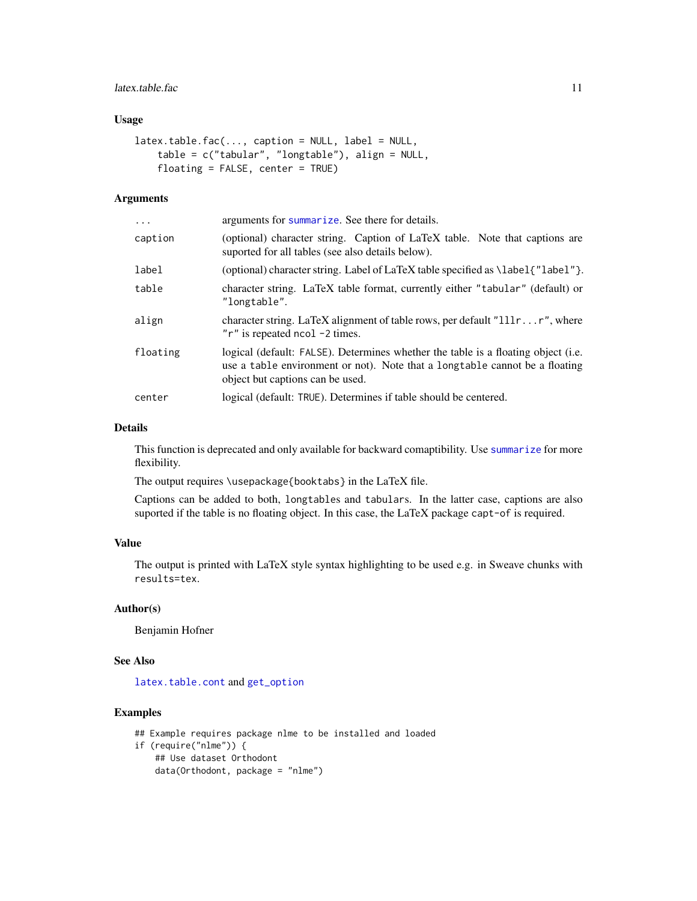## <span id="page-10-0"></span>latex.table.fac 11

#### Usage

```
\text{laterx.table.fac}(\ldots, \text{caption} = \text{NULL}, \text{label} = \text{NULL},table = c("tabular", "longtable"), align = NULL,
     floating = FALSE, center = TRUE)
```
#### Arguments

| $\cdots$ | arguments for summarize. See there for details.                                                                                                                                                       |
|----------|-------------------------------------------------------------------------------------------------------------------------------------------------------------------------------------------------------|
| caption  | (optional) character string. Caption of LaTeX table. Note that captions are<br>suported for all tables (see also details below).                                                                      |
| label    | (optional) character string. Label of LaTeX table specified as \label{"label"}.                                                                                                                       |
| table    | character string. LaTeX table format, currently either "tabular" (default) or<br>"longtable".                                                                                                         |
| align    | character string. LaTeX alignment of table rows, per default " $111rr$ ", where<br>"r" is repeated ncol -2 times.                                                                                     |
| floating | logical (default: FALSE). Determines whether the table is a floating object (i.e.<br>use a table environment or not). Note that a long table cannot be a floating<br>object but captions can be used. |
| center   | logical (default: TRUE). Determines if table should be centered.                                                                                                                                      |
|          |                                                                                                                                                                                                       |

#### Details

This function is deprecated and only available for backward comaptibility. Use [summarize](#page-16-1) for more flexibility.

The output requires \usepackage{booktabs} in the LaTeX file.

Captions can be added to both, longtables and tabulars. In the latter case, captions are also suported if the table is no floating object. In this case, the LaTeX package capt-of is required.

#### Value

The output is printed with LaTeX style syntax highlighting to be used e.g. in Sweave chunks with results=tex.

#### Author(s)

Benjamin Hofner

#### See Also

[latex.table.cont](#page-8-1) and [get\\_option](#page-3-1)

#### Examples

```
## Example requires package nlme to be installed and loaded
if (require("nlme")) {
   ## Use dataset Orthodont
   data(Orthodont, package = "nlme")
```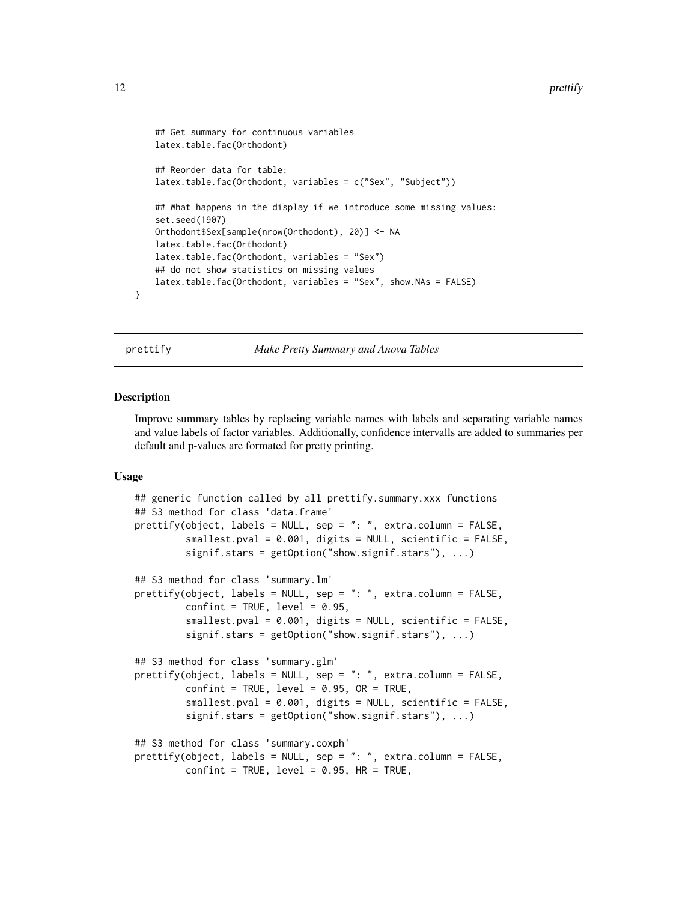```
## Get summary for continuous variables
latex.table.fac(Orthodont)
## Reorder data for table:
latex.table.fac(Orthodont, variables = c("Sex", "Subject"))
## What happens in the display if we introduce some missing values:
set.seed(1907)
Orthodont$Sex[sample(nrow(Orthodont), 20)] <- NA
latex.table.fac(Orthodont)
latex.table.fac(Orthodont, variables = "Sex")
## do not show statistics on missing values
latex.table.fac(Orthodont, variables = "Sex", show.NAs = FALSE)
```
}

prettify *Make Pretty Summary and Anova Tables*

#### **Description**

Improve summary tables by replacing variable names with labels and separating variable names and value labels of factor variables. Additionally, confidence intervalls are added to summaries per default and p-values are formated for pretty printing.

#### Usage

```
## generic function called by all prettify.summary.xxx functions
## S3 method for class 'data.frame'
prettify(object, labels = NULL, sep = ": ", extra.column = FALSE,
         smallest.pval = 0.001, digits = NULL, scientific = FALSE,
         signif.stars = getOption("show.signif.stars"), ...)
## S3 method for class 'summary.lm'
prettify(object, labels = NULL, sep = ": ", extra.column = FALSE,
         confint = TRUE, level = 0.95,smallest.pval = 0.001, digits = NULL, scientific = FALSE,
         signif.stars = getOption("show.signif.stars"), ...)
## S3 method for class 'summary.glm'
prettify(object, labels = NULL, sep = ": ", extra.column = FALSE,
         confint = TRUE, level = 0.95, OR = TRUE,smallest.pval = 0.001, digits = NULL, scientific = FALSE,
         signif.stars = getOption("show.signif.stars"), ...)
## S3 method for class 'summary.coxph'
prettify(object, labels = NULL, sep = ": ", extra.column = FALSE,
         confint = TRUE, level = 0.95, HR = TRUE,
```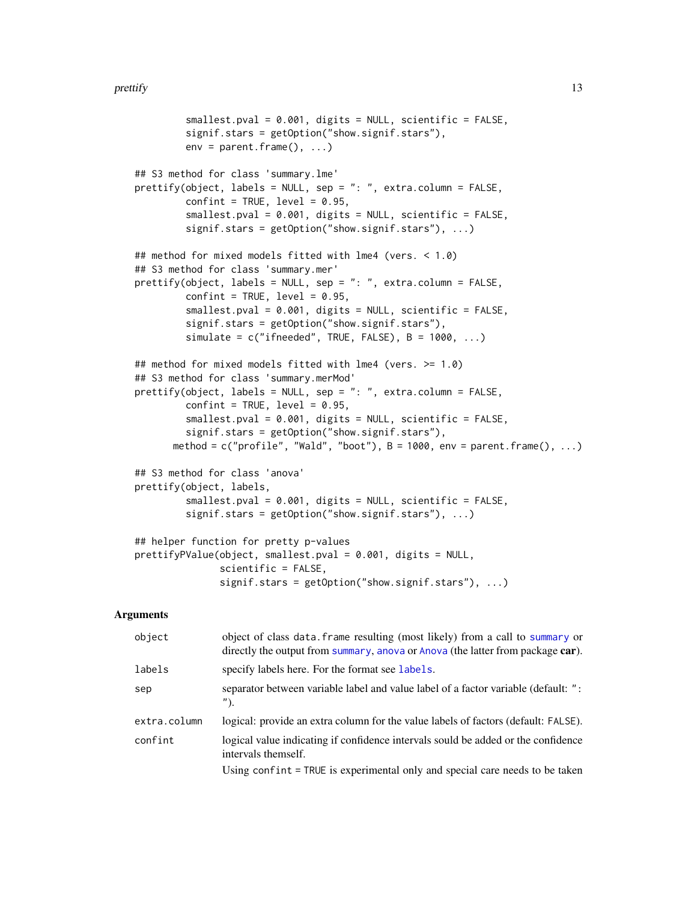```
smallest.pval = 0.001, digits = NULL, scientific = FALSE,
         signif.stars = getOption("show.signif.stars"),
         env = parent.frame(), ...)## S3 method for class 'summary.lme'
prettify(object, labels = NULL, sep = ": ", extra.column = FALSE,
         confint = TRUE, level = 0.95,smallest.pval = 0.001, digits = NULL, scientific = FALSE,
         signif.stars = getOption("show.signif.stars"), ...)
## method for mixed models fitted with lme4 (vers. < 1.0)
## S3 method for class 'summary.mer'
prettify(object, labels = NULL, sep = ": ", extra.column = FALSE,
         confint = TRUE, level = 0.95,smallest.pval = 0.001, digits = NULL, scientific = FALSE,
         signif.stars = getOption("show.signif.stars"),
         simulate = c("ifneeded", TRUE, FALSE), B = 1000, ...)## method for mixed models fitted with lme4 (vers. >= 1.0)
## S3 method for class 'summary.merMod'
prettify(object, labels = NULL, sep = ": ", extra.column = FALSE,
         confint = TRUE, level = 0.95,smallest.pval = 0.001, digits = NULL, scientific = FALSE,
         signif.stars = getOption("show.signif.stars"),
      method = c("profile", "Wald", "boot"), B = 1000, env = parent-frame(), ...)## S3 method for class 'anova'
prettify(object, labels,
         smallest.pval = 0.001, digits = NULL, scientific = FALSE,
         signif.stars = getOption("show.signif.stars"), ...)
## helper function for pretty p-values
prettifyPValue(object, smallest.pval = 0.001, digits = NULL,
               scientific = FALSE,
               signif.stars = getOption("show.signif.stars"), ...)
```
#### Arguments

| object       | object of class data. frame resulting (most likely) from a call to summary or<br>directly the output from summary, anova or Anova (the latter from package car). |
|--------------|------------------------------------------------------------------------------------------------------------------------------------------------------------------|
| labels       | specify labels here. For the format see labels.                                                                                                                  |
| sep          | separator between variable label and value label of a factor variable (default: ":<br>$'$ ).                                                                     |
| extra.column | logical: provide an extra column for the value labels of factors (default: FALSE).                                                                               |
| confint      | logical value indicating if confidence intervals sould be added or the confidence<br>intervals themself.                                                         |
|              | Using confint = TRUE is experimental only and special care needs to be taken                                                                                     |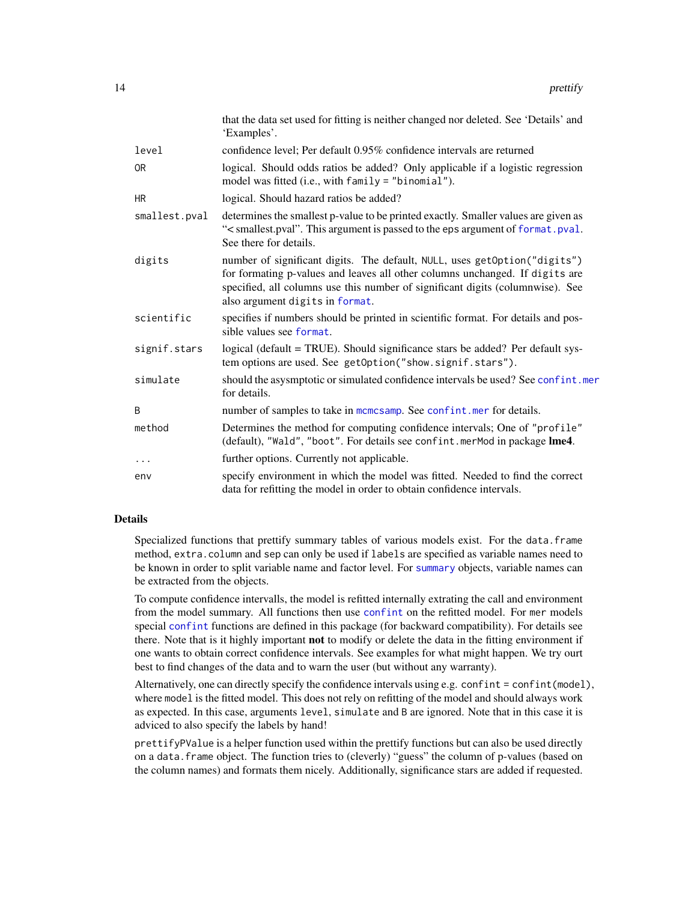<span id="page-13-0"></span>

|                | that the data set used for fitting is neither changed nor deleted. See 'Details' and<br>'Examples'.                                                                                                                                                                            |
|----------------|--------------------------------------------------------------------------------------------------------------------------------------------------------------------------------------------------------------------------------------------------------------------------------|
| level          | confidence level; Per default 0.95% confidence intervals are returned                                                                                                                                                                                                          |
| 0 <sub>R</sub> | logical. Should odds ratios be added? Only applicable if a logistic regression<br>model was fitted (i.e., with family = "binomial").                                                                                                                                           |
| <b>HR</b>      | logical. Should hazard ratios be added?                                                                                                                                                                                                                                        |
| smallest.pval  | determines the smallest p-value to be printed exactly. Smaller values are given as<br>"< smallest.pval". This argument is passed to the eps argument of format.pval.<br>See there for details.                                                                                 |
| digits         | number of significant digits. The default, NULL, uses getOption("digits")<br>for formating p-values and leaves all other columns unchanged. If digits are<br>specified, all columns use this number of significant digits (columnwise). See<br>also argument digits in format. |
| scientific     | specifies if numbers should be printed in scientific format. For details and pos-<br>sible values see format.                                                                                                                                                                  |
| signif.stars   | logical (default = TRUE). Should significance stars be added? Per default sys-<br>tem options are used. See getOption("show.signif.stars").                                                                                                                                    |
| simulate       | should the asysmptotic or simulated confidence intervals be used? See confint.mer<br>for details.                                                                                                                                                                              |
| B              | number of samples to take in momesamp. See confint mer for details.                                                                                                                                                                                                            |
| method         | Determines the method for computing confidence intervals; One of "profile"<br>(default), "Wald", "boot". For details see confint. merMod in package lme4.                                                                                                                      |
| .              | further options. Currently not applicable.                                                                                                                                                                                                                                     |
| env            | specify environment in which the model was fitted. Needed to find the correct<br>data for refitting the model in order to obtain confidence intervals.                                                                                                                         |

#### Details

Specialized functions that prettify summary tables of various models exist. For the data.frame method, extra.column and sep can only be used if labels are specified as variable names need to be known in order to split variable name and factor level. For [summary](#page-0-0) objects, variable names can be extracted from the objects.

To compute confidence intervalls, the model is refitted internally extrating the call and environment from the model summary. All functions then use [confint](#page-0-0) on the refitted model. For mer models special [confint](#page-2-1) functions are defined in this package (for backward compatibility). For details see there. Note that is it highly important **not** to modify or delete the data in the fitting environment if one wants to obtain correct confidence intervals. See examples for what might happen. We try ourt best to find changes of the data and to warn the user (but without any warranty).

Alternatively, one can directly specify the confidence intervals using e.g. confint = confint(model), where model is the fitted model. This does not rely on refitting of the model and should always work as expected. In this case, arguments level, simulate and B are ignored. Note that in this case it is adviced to also specify the labels by hand!

prettifyPValue is a helper function used within the prettify functions but can also be used directly on a data.frame object. The function tries to (cleverly) "guess" the column of p-values (based on the column names) and formats them nicely. Additionally, significance stars are added if requested.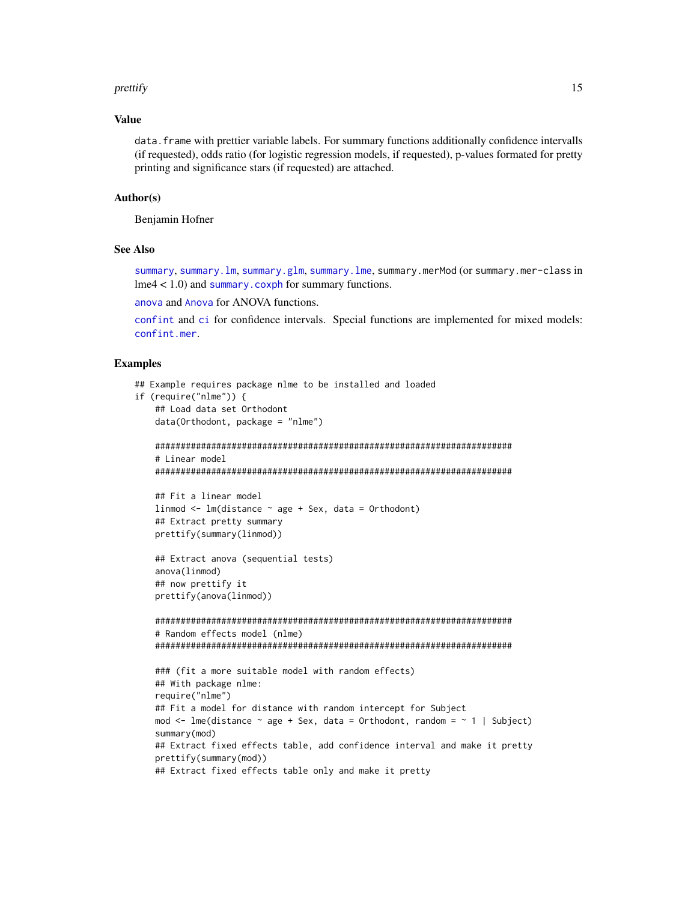#### <span id="page-14-0"></span>prettify the contract of the contract of the contract of the contract of the contract of the contract of the contract of the contract of the contract of the contract of the contract of the contract of the contract of the c

#### Value

data.frame with prettier variable labels. For summary functions additionally confidence intervalls (if requested), odds ratio (for logistic regression models, if requested), p-values formated for pretty printing and significance stars (if requested) are attached.

#### Author(s)

Benjamin Hofner

#### See Also

[summary](#page-0-0), [summary.lm](#page-0-0), [summary.glm](#page-0-0), [summary.lme](#page-0-0), summary.merMod (or summary.mer-class in  $l$ me4 < 1.0) and [summary.coxph](#page-0-0) for summary functions.

[anova](#page-0-0) and [Anova](#page-0-0) for ANOVA functions.

[confint](#page-0-0) and [ci](#page-0-0) for confidence intervals. Special functions are implemented for mixed models: [confint.mer](#page-2-1).

#### Examples

```
## Example requires package nlme to be installed and loaded
if (require("nlme")) {
   ## Load data set Orthodont
   data(Orthodont, package = "nlme")
   ######################################################################
   # Linear model
   ######################################################################
   ## Fit a linear model
   linmod <- lm(distance ~ age + Sex, data = Orthodont)
   ## Extract pretty summary
   prettify(summary(linmod))
   ## Extract anova (sequential tests)
   anova(linmod)
   ## now prettify it
   prettify(anova(linmod))
   ######################################################################
   # Random effects model (nlme)
   ######################################################################
   ### (fit a more suitable model with random effects)
   ## With package nlme:
   require("nlme")
   ## Fit a model for distance with random intercept for Subject
   mod \le - lme(distance \sim age + Sex, data = Orthodont, random = \sim 1 | Subject)
   summary(mod)
   ## Extract fixed effects table, add confidence interval and make it pretty
   prettify(summary(mod))
   ## Extract fixed effects table only and make it pretty
```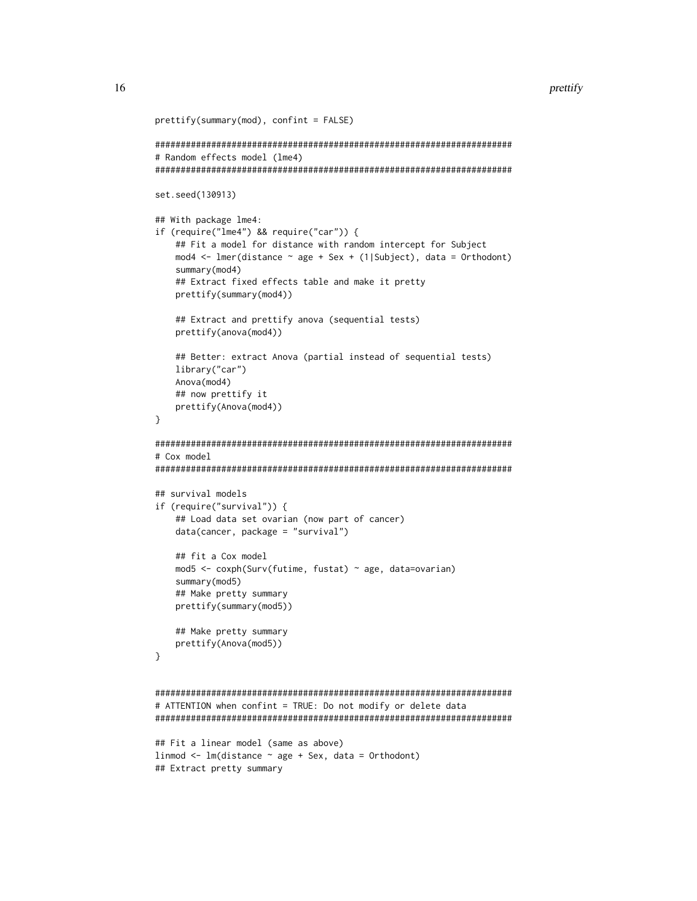```
prettify(summary(mod), confint = FALSE)
######################################################################
# Random effects model (lme4)
######################################################################
set.seed(130913)
## With package lme4:
if (require("lme4") && require("car")) {
    ## Fit a model for distance with random intercept for Subject
    mod4 <- lmer(distance ~ age + Sex + (1|Subject), data = Orthodont)
    summary(mod4)
    ## Extract fixed effects table and make it pretty
    prettify(summary(mod4))
    ## Extract and prettify anova (sequential tests)
    prettify(anova(mod4))
    ## Better: extract Anova (partial instead of sequential tests)
    library("car")
    Anova(mod4)
    ## now prettify it
    prettify(Anova(mod4))
}
######################################################################
# Cox model
######################################################################
## survival models
if (require("survival")) {
    ## Load data set ovarian (now part of cancer)
    data(cancer, package = "survival")
    ## fit a Cox model
    mod5 <- coxph(Surv(futime, fustat) ~ age, data=ovarian)
    summary(mod5)
    ## Make pretty summary
    prettify(summary(mod5))
    ## Make pretty summary
    prettify(Anova(mod5))
}
######################################################################
# ATTENTION when confint = TRUE: Do not modify or delete data
######################################################################
## Fit a linear model (same as above)
linmod \leq lm(distance \sim age + Sex, data = Orthodont)
## Extract pretty summary
```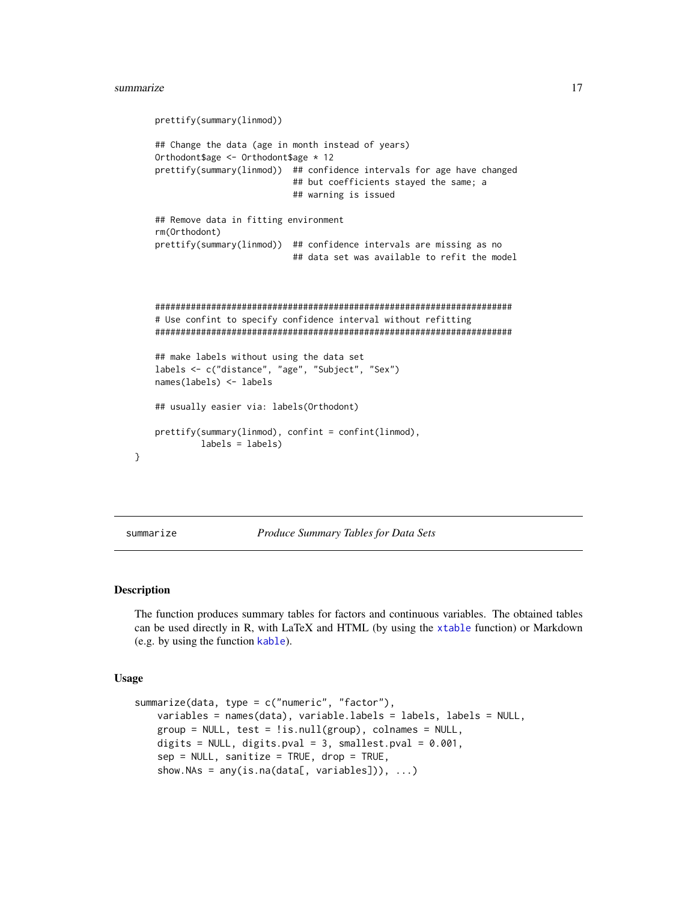```
prettify(summary(linmod))
## Change the data (age in month instead of years)
Orthodont$age <- Orthodont$age * 12
prettify(summary(linmod)) ## confidence intervals for age have changed
                           ## but coefficients stayed the same; a
                           ## warning is issued
## Remove data in fitting environment
rm(Orthodont)
prettify(summary(linmod)) ## confidence intervals are missing as no
                           ## data set was available to refit the model
######################################################################
# Use confint to specify confidence interval without refitting
######################################################################
## make labels without using the data set
labels <- c("distance", "age", "Subject", "Sex")
names(labels) <- labels
## usually easier via: labels(Orthodont)
prettify(summary(linmod), confint = confint(linmod),
         labels = labels)
```
}

<span id="page-16-1"></span>summarize *Produce Summary Tables for Data Sets*

#### Description

The function produces summary tables for factors and continuous variables. The obtained tables can be used directly in R, with LaTeX and HTML (by using the [xtable](#page-24-1) function) or Markdown (e.g. by using the function [kable](#page-0-0)).

#### Usage

```
summarize(data, type = c("numeric", "factor"),
   variables = names(data), variable.labels = labels, labels = NULL,
   group = NULL, test = !is.null(group), colnames = NULL,digits = NULL, digits.pval = 3, smallest.pval = 0.001,
    sep = NULL, sanitize = TRUE, drop = TRUE,
    show.NAs = any(is.na(data[, variables])), \ldots)
```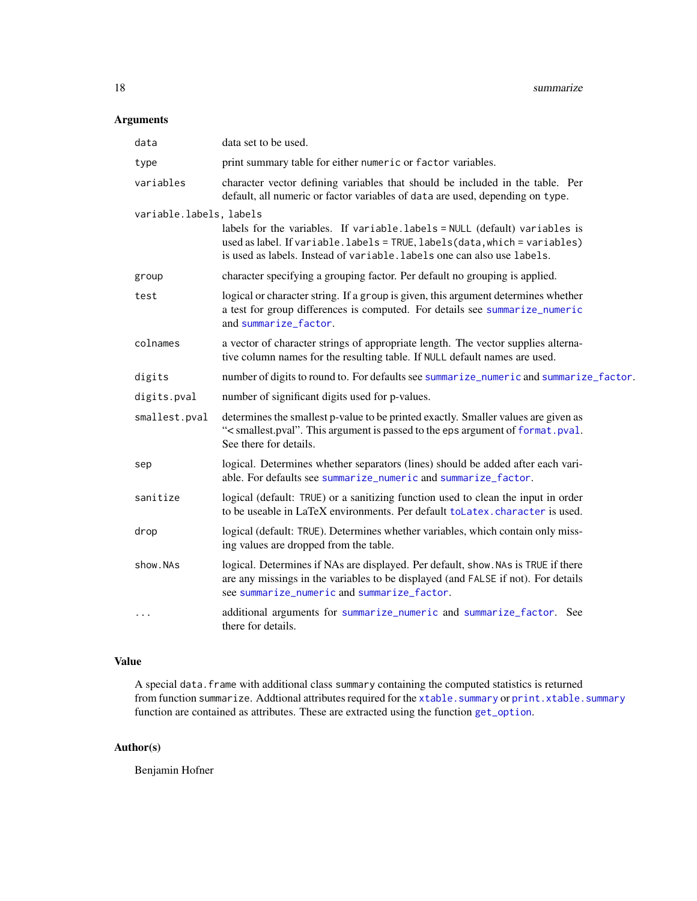## <span id="page-17-0"></span>Arguments

| data                    | data set to be used.                                                                                                                                                                                                                 |
|-------------------------|--------------------------------------------------------------------------------------------------------------------------------------------------------------------------------------------------------------------------------------|
| type                    | print summary table for either numeric or factor variables.                                                                                                                                                                          |
| variables               | character vector defining variables that should be included in the table. Per<br>default, all numeric or factor variables of data are used, depending on type.                                                                       |
| variable.labels, labels |                                                                                                                                                                                                                                      |
|                         | labels for the variables. If variable.labels = NULL (default) variables is<br>used as label. If variable. labels = TRUE, labels (data, which = variables)<br>is used as labels. Instead of variable. labels one can also use labels. |
| group                   | character specifying a grouping factor. Per default no grouping is applied.                                                                                                                                                          |
| test                    | logical or character string. If a group is given, this argument determines whether<br>a test for group differences is computed. For details see summarize_numeric<br>and summarize_factor.                                           |
| colnames                | a vector of character strings of appropriate length. The vector supplies alterna-<br>tive column names for the resulting table. If NULL default names are used.                                                                      |
| digits                  | number of digits to round to. For defaults see summarize_numeric and summarize_factor.                                                                                                                                               |
| digits.pval             | number of significant digits used for p-values.                                                                                                                                                                                      |
| smallest.pval           | determines the smallest p-value to be printed exactly. Smaller values are given as<br>"< smallest.pval". This argument is passed to the eps argument of format.pval.<br>See there for details.                                       |
| sep                     | logical. Determines whether separators (lines) should be added after each vari-<br>able. For defaults see summarize_numeric and summarize_factor.                                                                                    |
| sanitize                | logical (default: TRUE) or a sanitizing function used to clean the input in order<br>to be useable in LaTeX environments. Per default to Latex. character is used.                                                                   |
| drop                    | logical (default: TRUE). Determines whether variables, which contain only miss-<br>ing values are dropped from the table.                                                                                                            |
| show.NAs                | logical. Determines if NAs are displayed. Per default, show. NAs is TRUE if there<br>are any missings in the variables to be displayed (and FALSE if not). For details<br>see summarize_numeric and summarize_factor.                |
| .                       | additional arguments for summarize_numeric and summarize_factor. See<br>there for details.                                                                                                                                           |

### Value

A special data.frame with additional class summary containing the computed statistics is returned from function summarize. Addtional attributes required for the [xtable.summary](#page-24-2) or [print.xtable.summary](#page-24-1) function are contained as attributes. These are extracted using the function [get\\_option](#page-3-1).

## Author(s)

Benjamin Hofner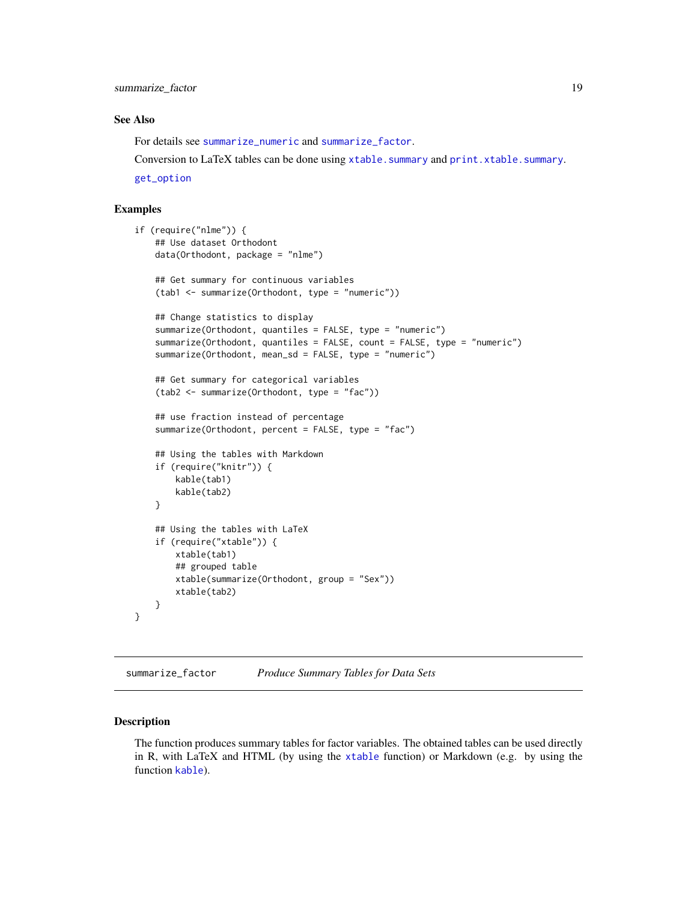#### <span id="page-18-0"></span>See Also

For details see [summarize\\_numeric](#page-20-1) and [summarize\\_factor](#page-18-1).

Conversion to LaTeX tables can be done using [xtable.summary](#page-24-2) and [print.xtable.summary](#page-24-1).

[get\\_option](#page-3-1)

#### Examples

```
if (require("nlme")) {
    ## Use dataset Orthodont
   data(Orthodont, package = "nlme")
    ## Get summary for continuous variables
    (tab1 <- summarize(Orthodont, type = "numeric"))
    ## Change statistics to display
    summarize(Orthodont, quantiles = FALSE, type = "numeric")
    summarize(Orthodont, quantiles = FALSE, count = FALSE, type = "numeric")
    summarize(Orthodont, mean_sd = FALSE, type = "numeric")
    ## Get summary for categorical variables
    (tab2 <- summarize(Orthodont, type = "fac"))
    ## use fraction instead of percentage
    summarize(Orthodont, percent = FALSE, type = "fac")
    ## Using the tables with Markdown
    if (require("knitr")) {
       kable(tab1)
       kable(tab2)
    }
   ## Using the tables with LaTeX
    if (require("xtable")) {
       xtable(tab1)
       ## grouped table
       xtable(summarize(Orthodont, group = "Sex"))
       xtable(tab2)
   }
```
<span id="page-18-1"></span>summarize\_factor *Produce Summary Tables for Data Sets*

#### Description

}

The function produces summary tables for factor variables. The obtained tables can be used directly in R, with LaTeX and HTML (by using the [xtable](#page-24-1) function) or Markdown (e.g. by using the function [kable](#page-0-0)).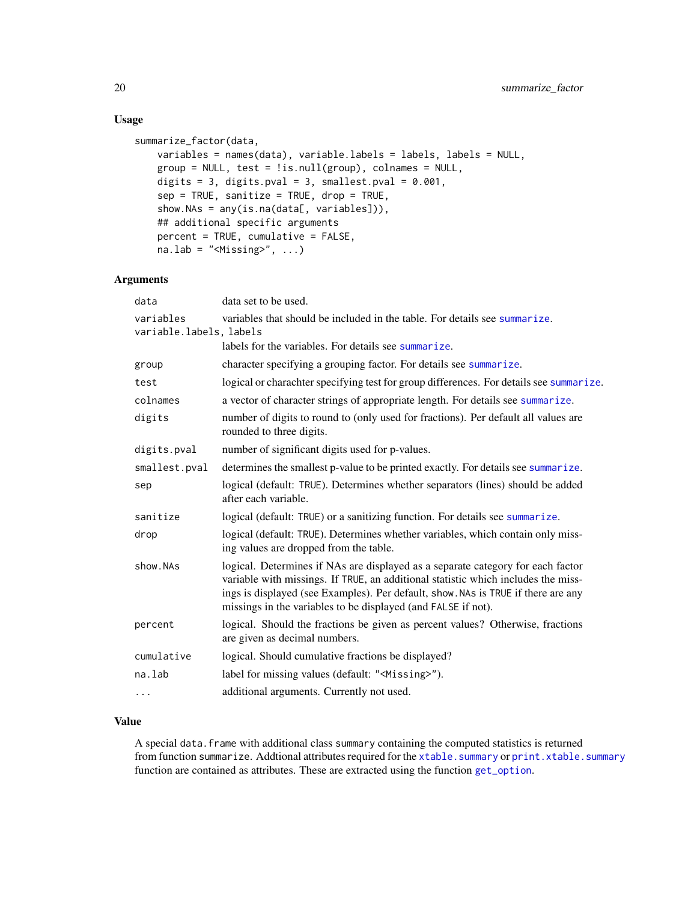## Usage

```
summarize_factor(data,
   variables = names(data), variable.labels = labels, labels = NULL,
   group = NULL, test = !is.null(group), colnames = NULL,
   digits = 3, digits.pval = 3, smallest.pval = 0.001,
   sep = TRUE, sanitize = TRUE, drop = TRUE,
   show.NAs = any(is.na(data[, variables])),
   ## additional specific arguments
   percent = TRUE, cumulative = FALSE,
   na.lab = "<Missing)", ...)
```
#### Arguments

| data                                 | data set to be used.                                                                                                                                                                                                                                                                                                       |
|--------------------------------------|----------------------------------------------------------------------------------------------------------------------------------------------------------------------------------------------------------------------------------------------------------------------------------------------------------------------------|
| variables<br>variable.labels, labels | variables that should be included in the table. For details see summarize.                                                                                                                                                                                                                                                 |
|                                      | labels for the variables. For details see summarize.                                                                                                                                                                                                                                                                       |
| group                                | character specifying a grouping factor. For details see summarize.                                                                                                                                                                                                                                                         |
| test                                 | logical or charachter specifying test for group differences. For details see summarize.                                                                                                                                                                                                                                    |
| colnames                             | a vector of character strings of appropriate length. For details see summarize.                                                                                                                                                                                                                                            |
| digits                               | number of digits to round to (only used for fractions). Per default all values are<br>rounded to three digits.                                                                                                                                                                                                             |
| digits.pval                          | number of significant digits used for p-values.                                                                                                                                                                                                                                                                            |
| smallest.pval                        | determines the smallest p-value to be printed exactly. For details see summarize.                                                                                                                                                                                                                                          |
| sep                                  | logical (default: TRUE). Determines whether separators (lines) should be added<br>after each variable.                                                                                                                                                                                                                     |
| sanitize                             | logical (default: TRUE) or a sanitizing function. For details see summarize.                                                                                                                                                                                                                                               |
| drop                                 | logical (default: TRUE). Determines whether variables, which contain only miss-<br>ing values are dropped from the table.                                                                                                                                                                                                  |
| show.NAs                             | logical. Determines if NAs are displayed as a separate category for each factor<br>variable with missings. If TRUE, an additional statistic which includes the miss-<br>ings is displayed (see Examples). Per default, show. NAs is TRUE if there are any<br>missings in the variables to be displayed (and FALSE if not). |
| percent                              | logical. Should the fractions be given as percent values? Otherwise, fractions<br>are given as decimal numbers.                                                                                                                                                                                                            |
| cumulative                           | logical. Should cumulative fractions be displayed?                                                                                                                                                                                                                                                                         |
| na.lab                               | label for missing values (default: " <missing>").</missing>                                                                                                                                                                                                                                                                |
| .                                    | additional arguments. Currently not used.                                                                                                                                                                                                                                                                                  |
|                                      |                                                                                                                                                                                                                                                                                                                            |

## Value

A special data.frame with additional class summary containing the computed statistics is returned from function summarize. Addtional attributes required for the [xtable.summary](#page-24-2) or [print.xtable.summary](#page-24-1) function are contained as attributes. These are extracted using the function [get\\_option](#page-3-1).

<span id="page-19-0"></span>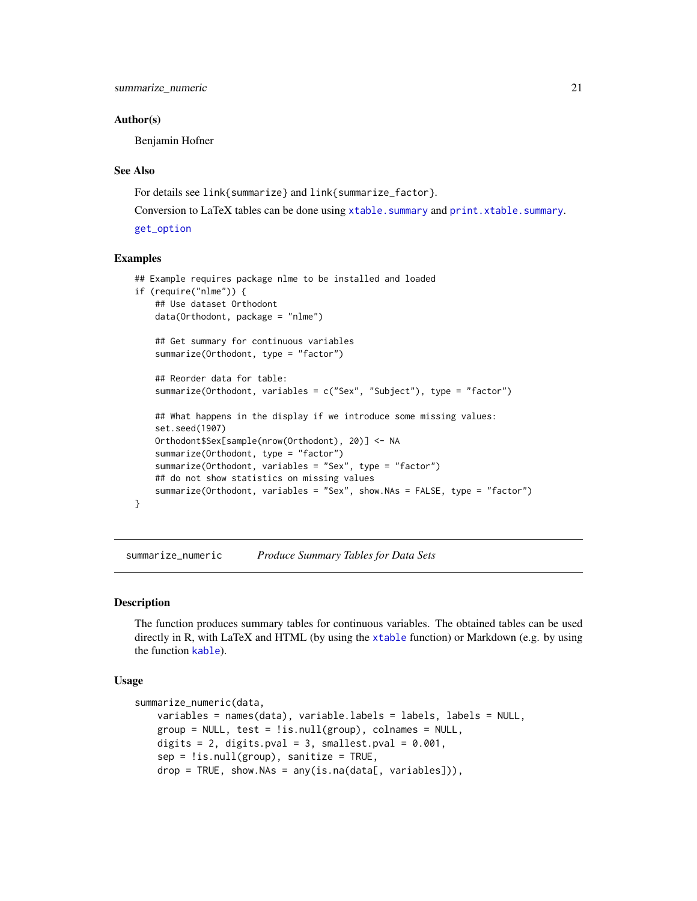<span id="page-20-0"></span>summarize\_numeric 21

#### Author(s)

Benjamin Hofner

#### See Also

For details see link{summarize} and link{summarize\_factor}.

Conversion to LaTeX tables can be done using [xtable.summary](#page-24-2) and [print.xtable.summary](#page-24-1).

[get\\_option](#page-3-1)

#### Examples

```
## Example requires package nlme to be installed and loaded
if (require("nlme")) {
    ## Use dataset Orthodont
   data(Orthodont, package = "nlme")
    ## Get summary for continuous variables
    summarize(Orthodont, type = "factor")
    ## Reorder data for table:
    summarize(Orthodont, variables = c("Sex", "Subject"), type = "factor")
    ## What happens in the display if we introduce some missing values:
    set.seed(1907)
    Orthodont$Sex[sample(nrow(Orthodont), 20)] <- NA
    summarize(Orthodont, type = "factor")
    summarize(Orthodont, variables = "Sex", type = "factor")
   ## do not show statistics on missing values
    summarize(Orthodont, variables = "Sex", show.NAs = FALSE, type = "factor")
}
```
<span id="page-20-1"></span>summarize\_numeric *Produce Summary Tables for Data Sets*

#### Description

The function produces summary tables for continuous variables. The obtained tables can be used directly in R, with LaTeX and HTML (by using the [xtable](#page-24-1) function) or Markdown (e.g. by using the function [kable](#page-0-0)).

#### Usage

```
summarize_numeric(data,
   variables = names(data), variable.labels = labels, labels = NULL,
   group = NULL, test = lis.null(group), colnames = NULL,
   digits = 2, digits.pval = 3, smallest.pval = 0.001,
   sep = !is.null(group), sanitize = TRUE,
   drop = TRUE, show.NAs = any(is.na(data[, variables]),
```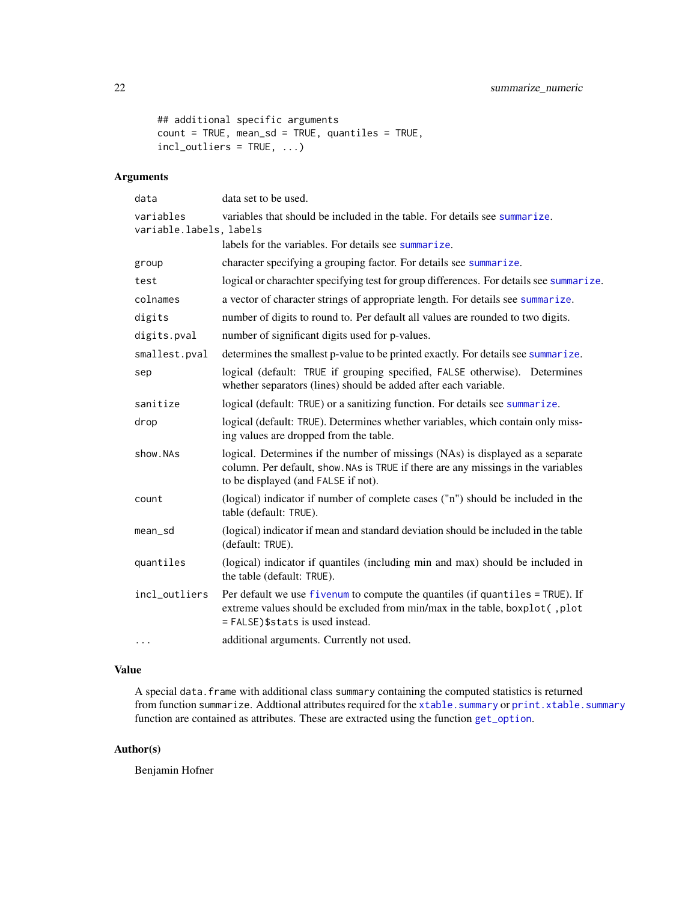```
## additional specific arguments
count = TRUE, mean_sd = TRUE, quantiles = TRUE,
incl_outliers = TRUE, ...)
```
## Arguments

| data                                 | data set to be used.                                                                                                                                                                                       |
|--------------------------------------|------------------------------------------------------------------------------------------------------------------------------------------------------------------------------------------------------------|
| variables<br>variable.labels, labels | variables that should be included in the table. For details see summarize.                                                                                                                                 |
|                                      | labels for the variables. For details see summarize.                                                                                                                                                       |
| group                                | character specifying a grouping factor. For details see summarize.                                                                                                                                         |
| test                                 | logical or charachter specifying test for group differences. For details see summarize.                                                                                                                    |
| colnames                             | a vector of character strings of appropriate length. For details see summarize.                                                                                                                            |
| digits                               | number of digits to round to. Per default all values are rounded to two digits.                                                                                                                            |
| digits.pval                          | number of significant digits used for p-values.                                                                                                                                                            |
| smallest.pval                        | determines the smallest p-value to be printed exactly. For details see summarize.                                                                                                                          |
| sep                                  | logical (default: TRUE if grouping specified, FALSE otherwise). Determines<br>whether separators (lines) should be added after each variable.                                                              |
| sanitize                             | logical (default: TRUE) or a sanitizing function. For details see summarize.                                                                                                                               |
| drop                                 | logical (default: TRUE). Determines whether variables, which contain only miss-<br>ing values are dropped from the table.                                                                                  |
| show.NAs                             | logical. Determines if the number of missings (NAs) is displayed as a separate<br>column. Per default, show. NAs is TRUE if there are any missings in the variables<br>to be displayed (and FALSE if not). |
| count                                | (logical) indicator if number of complete cases ("n") should be included in the<br>table (default: TRUE).                                                                                                  |
| mean_sd                              | (logical) indicator if mean and standard deviation should be included in the table<br>(default: TRUE).                                                                                                     |
| quantiles                            | (logical) indicator if quantiles (including min and max) should be included in<br>the table (default: TRUE).                                                                                               |
| incl_outliers                        | Per default we use fivenum to compute the quantiles (if quantiles = TRUE). If<br>extreme values should be excluded from min/max in the table, boxplot(, plot<br>= FALSE) \$stats is used instead.          |
| $\cdots$                             | additional arguments. Currently not used.                                                                                                                                                                  |
|                                      |                                                                                                                                                                                                            |

## Value

A special data.frame with additional class summary containing the computed statistics is returned from function summarize. Addtional attributes required for the [xtable.summary](#page-24-2) or [print.xtable.summary](#page-24-1) function are contained as attributes. These are extracted using the function [get\\_option](#page-3-1).

## Author(s)

Benjamin Hofner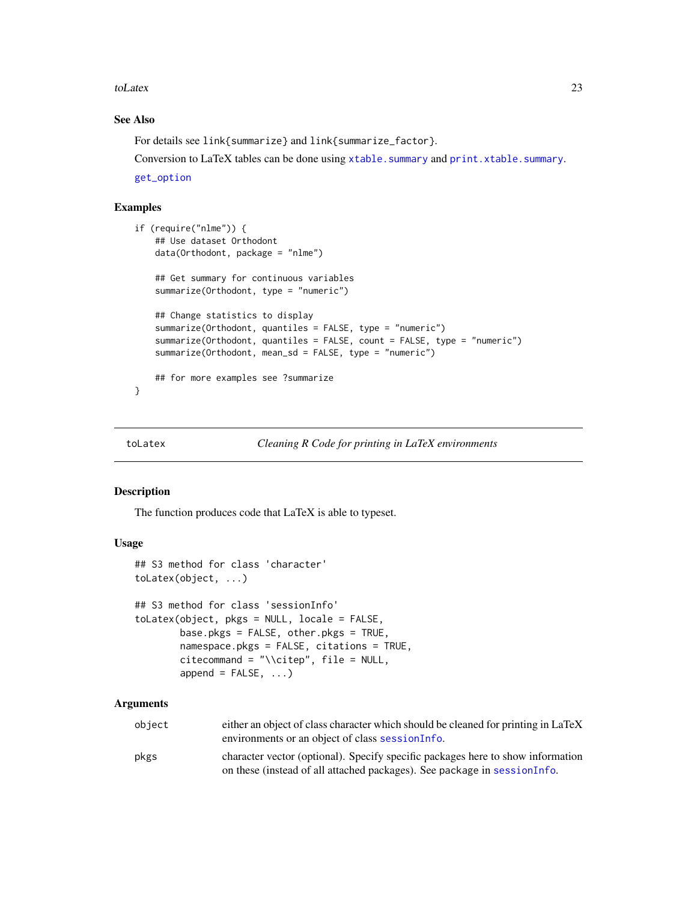#### <span id="page-22-0"></span>toLatex 23

## See Also

For details see link{summarize} and link{summarize\_factor}.

Conversion to LaTeX tables can be done using [xtable.summary](#page-24-2) and [print.xtable.summary](#page-24-1).

[get\\_option](#page-3-1)

## Examples

```
if (require("nlme")) {
    ## Use dataset Orthodont
   data(Orthodont, package = "nlme")
    ## Get summary for continuous variables
    summarize(Orthodont, type = "numeric")
    ## Change statistics to display
    summarize(Orthodont, quantiles = FALSE, type = "numeric")
    summarize(Orthodont, quantiles = FALSE, count = FALSE, type = "numeric")
    summarize(Orthodont, mean_sd = FALSE, type = "numeric")
    ## for more examples see ?summarize
}
```

```
toLatex Cleaning R Code for printing in LaTeX environments
```
#### <span id="page-22-1"></span>Description

The function produces code that LaTeX is able to typeset.

#### Usage

```
## S3 method for class 'character'
toLatex(object, ...)
## S3 method for class 'sessionInfo'
toLatex(object, pkgs = NULL, locale = FALSE,
        base.pkgs = FALSE, other.pkgs = TRUE,
        namespace.pkgs = FALSE, citations = TRUE,
        citecommand = "\\citep", file = NULL,append = FALSE, \ldots)
```
### Arguments

| obiect | either an object of class character which should be cleaned for printing in LaTeX<br>environments or an object of class session Info.                       |
|--------|-------------------------------------------------------------------------------------------------------------------------------------------------------------|
| pkgs   | character vector (optional). Specify specific packages here to show information<br>on these (instead of all attached packages). See package in sessionInfo. |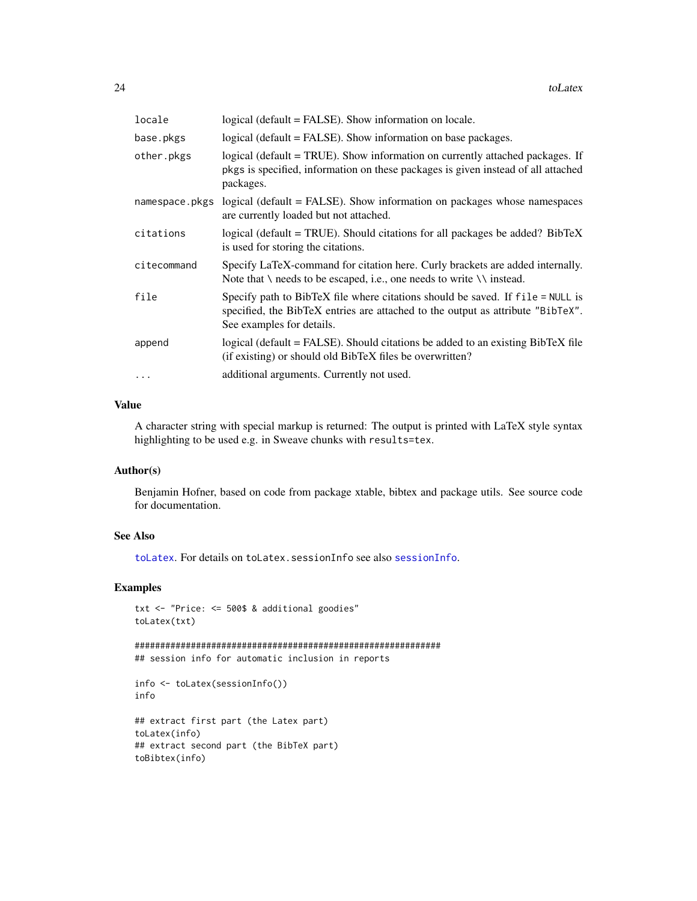<span id="page-23-0"></span>

| locale         | logical (default = FALSE). Show information on locale.                                                                                                                                         |
|----------------|------------------------------------------------------------------------------------------------------------------------------------------------------------------------------------------------|
| base.pkgs      | logical (default = FALSE). Show information on base packages.                                                                                                                                  |
| other.pkgs     | logical (default = TRUE). Show information on currently attached packages. If<br>pkgs is specified, information on these packages is given instead of all attached<br>packages.                |
| namespace.pkgs | logical (default = FALSE). Show information on packages whose namespaces<br>are currently loaded but not attached.                                                                             |
| citations      | logical (default = TRUE). Should citations for all packages be added? BibTeX<br>is used for storing the citations.                                                                             |
| citecommand    | Specify LaTeX-command for citation here. Curly brackets are added internally.<br>Note that $\setminus$ needs to be escaped, i.e., one needs to write $\setminus \setminus$ instead.            |
| file           | Specify path to BibTeX file where citations should be saved. If file = NULL is<br>specified, the BibTeX entries are attached to the output as attribute "BibTeX".<br>See examples for details. |
| append         | logical (default = FALSE). Should citations be added to an existing BibTeX file<br>(if existing) or should old BibTeX files be overwritten?                                                    |
|                | additional arguments. Currently not used.                                                                                                                                                      |
|                |                                                                                                                                                                                                |

#### Value

A character string with special markup is returned: The output is printed with LaTeX style syntax highlighting to be used e.g. in Sweave chunks with results=tex.

#### Author(s)

Benjamin Hofner, based on code from package xtable, bibtex and package utils. See source code for documentation.

#### See Also

[toLatex](#page-22-2). For details on toLatex.sessionInfo see also [sessionInfo](#page-0-0).

## Examples

```
txt <- "Price: <= 500$ & additional goodies"
toLatex(txt)
```

```
############################################################
## session info for automatic inclusion in reports
```

```
info <- toLatex(sessionInfo())
info
```

```
## extract first part (the Latex part)
toLatex(info)
## extract second part (the BibTeX part)
toBibtex(info)
```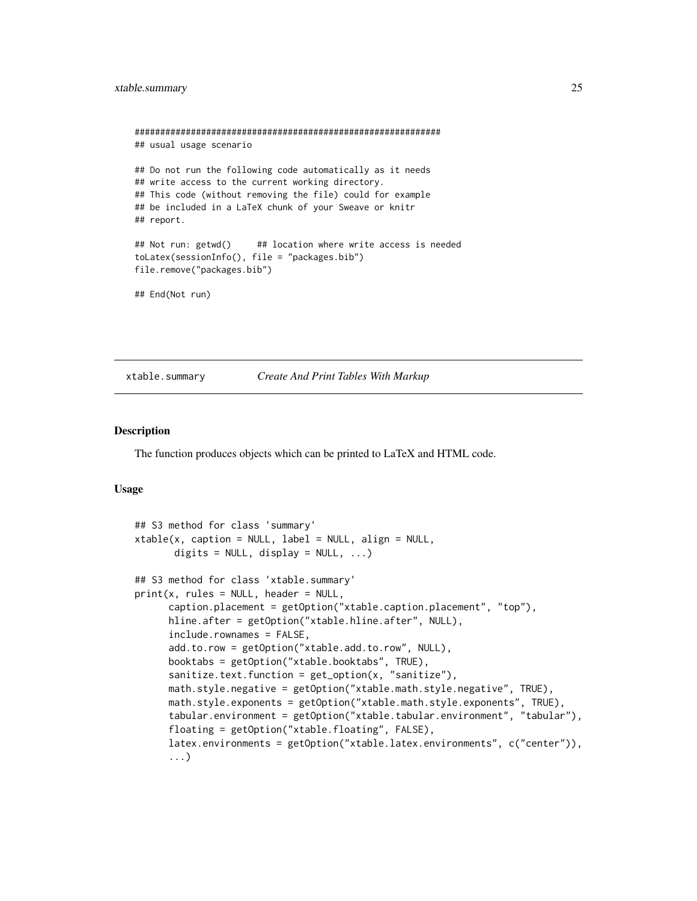```
############################################################
## usual usage scenario
## Do not run the following code automatically as it needs
## write access to the current working directory.
## This code (without removing the file) could for example
## be included in a LaTeX chunk of your Sweave or knitr
## report.
## Not run: getwd() ## location where write access is needed
toLatex(sessionInfo(), file = "packages.bib")
file.remove("packages.bib")
## End(Not run)
```
#### <span id="page-24-2"></span>xtable.summary *Create And Print Tables With Markup*

#### <span id="page-24-1"></span>Description

The function produces objects which can be printed to LaTeX and HTML code.

#### Usage

```
## S3 method for class 'summary'
xtable(x, caption = NULL, label = NULL, align = NULL,digits = NULL, display = NULL, ...)
## S3 method for class 'xtable.summary'
print(x, rules = NULL, header = NULL,caption.placement = getOption("xtable.caption.placement", "top"),
     hline.after = getOption("xtable.hline.after", NULL),
     include.rownames = FALSE,
     add.to.row = getOption("xtable.add.to.row", NULL),
     booktabs = getOption("xtable.booktabs", TRUE),
     sanitize.text.function = get_option(x, "sanitize"),
     math.style.negative = getOption("xtable.math.style.negative", TRUE),
     math.style.exponents = getOption("xtable.math.style.exponents", TRUE),
     tabular.environment = getOption("xtable.tabular.environment", "tabular"),
     floating = getOption("xtable.floating", FALSE),
     latex.environments = getOption("xtable.latex.environments", c("center")),
      ...)
```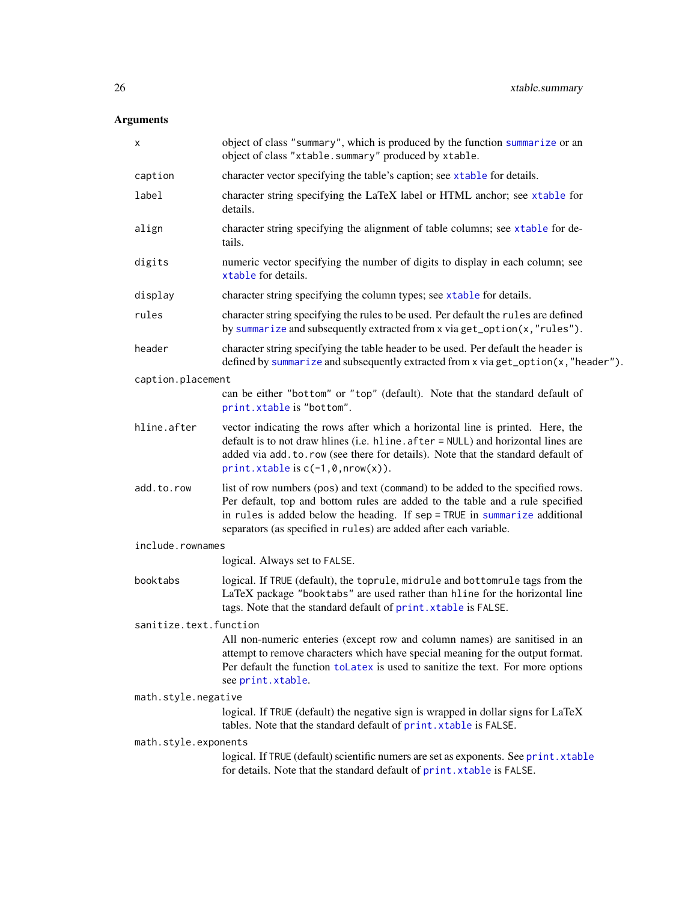## <span id="page-25-0"></span>Arguments

| х                      | object of class "summary", which is produced by the function summarize or an<br>object of class "xtable.summary" produced by xtable.                                                                                                                                                                                |  |
|------------------------|---------------------------------------------------------------------------------------------------------------------------------------------------------------------------------------------------------------------------------------------------------------------------------------------------------------------|--|
| caption                | character vector specifying the table's caption; see xtable for details.                                                                                                                                                                                                                                            |  |
| label                  | character string specifying the LaTeX label or HTML anchor; see xtable for<br>details.                                                                                                                                                                                                                              |  |
| align                  | character string specifying the alignment of table columns; see xtable for de-<br>tails.                                                                                                                                                                                                                            |  |
| digits                 | numeric vector specifying the number of digits to display in each column; see<br>xtable for details.                                                                                                                                                                                                                |  |
| display                | character string specifying the column types; see xtable for details.                                                                                                                                                                                                                                               |  |
| rules                  | character string specifying the rules to be used. Per default the rules are defined<br>by summarize and subsequently extracted from x via get_option(x,"rules").                                                                                                                                                    |  |
| header                 | character string specifying the table header to be used. Per default the header is<br>defined by summarize and subsequently extracted from x via get_option(x,"header").                                                                                                                                            |  |
| caption.placement      |                                                                                                                                                                                                                                                                                                                     |  |
|                        | can be either "bottom" or "top" (default). Note that the standard default of<br>print.xtable is "bottom".                                                                                                                                                                                                           |  |
| hline.after            | vector indicating the rows after which a horizontal line is printed. Here, the<br>default is to not draw hlines (i.e. hline. after = NULL) and horizontal lines are<br>added via add. to. row (see there for details). Note that the standard default of<br>$print.$ xtable is $c(-1, 0, nrow(x))$ .                |  |
| add.to.row             | list of row numbers (pos) and text (command) to be added to the specified rows.<br>Per default, top and bottom rules are added to the table and a rule specified<br>in rules is added below the heading. If sep = TRUE in summarize additional<br>separators (as specified in rules) are added after each variable. |  |
| include.rownames       |                                                                                                                                                                                                                                                                                                                     |  |
|                        | logical. Always set to FALSE.                                                                                                                                                                                                                                                                                       |  |
| booktabs               | logical. If TRUE (default), the toprule, midrule and bottomrule tags from the<br>LaTeX package "booktabs" are used rather than hline for the horizontal line<br>tags. Note that the standard default of print. xtable is FALSE.                                                                                     |  |
| sanitize.text.function |                                                                                                                                                                                                                                                                                                                     |  |
|                        | All non-numeric enteries (except row and column names) are sanitised in an<br>attempt to remove characters which have special meaning for the output format.<br>Per default the function to Latex is used to sanitize the text. For more options<br>see print.xtable.                                               |  |
| math.style.negative    |                                                                                                                                                                                                                                                                                                                     |  |
|                        | logical. If TRUE (default) the negative sign is wrapped in dollar signs for LaTeX<br>tables. Note that the standard default of print. xtable is FALSE.                                                                                                                                                              |  |
| math.style.exponents   |                                                                                                                                                                                                                                                                                                                     |  |
|                        | logical. If TRUE (default) scientific numers are set as exponents. See print.xtable<br>for details. Note that the standard default of print. xtable is FALSE.                                                                                                                                                       |  |
|                        |                                                                                                                                                                                                                                                                                                                     |  |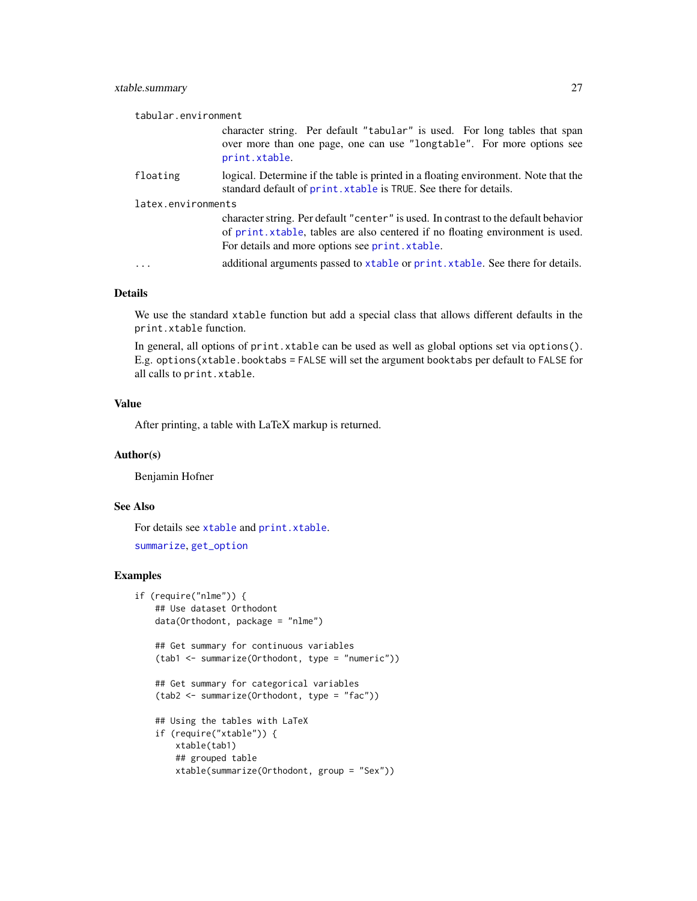## <span id="page-26-0"></span>xtable.summary 27

| tabular.environment |                                                                                                                                                                                                                          |
|---------------------|--------------------------------------------------------------------------------------------------------------------------------------------------------------------------------------------------------------------------|
|                     | character string. Per default "tabular" is used. For long tables that span<br>over more than one page, one can use "longtable". For more options see<br>print.xtable.                                                    |
| floating            | logical. Determine if the table is printed in a floating environment. Note that the<br>standard default of print. xtable is TRUE. See there for details.                                                                 |
| latex.environments  |                                                                                                                                                                                                                          |
|                     | character string. Per default "center" is used. In contrast to the default behavior<br>of print. xtable, tables are also centered if no floating environment is used.<br>For details and more options see print. xtable. |
| $\cdots$            | additional arguments passed to xtable or print. xtable. See there for details.                                                                                                                                           |

#### Details

We use the standard xtable function but add a special class that allows different defaults in the print.xtable function.

In general, all options of print.xtable can be used as well as global options set via options(). E.g. options(xtable.booktabs = FALSE will set the argument booktabs per default to FALSE for all calls to print.xtable.

#### Value

After printing, a table with LaTeX markup is returned.

#### Author(s)

Benjamin Hofner

## See Also

For details see [xtable](#page-24-1) and [print.xtable](#page-24-1).

```
summarize, get_option
```
## Examples

```
if (require("nlme")) {
    ## Use dataset Orthodont
   data(Orthodont, package = "nlme")
    ## Get summary for continuous variables
    (tab1 <- summarize(Orthodont, type = "numeric"))
    ## Get summary for categorical variables
    (tab2 <- summarize(Orthodont, type = "fac"))
    ## Using the tables with LaTeX
    if (require("xtable")) {
       xtable(tab1)
       ## grouped table
       xtable(summarize(Orthodont, group = "Sex"))
```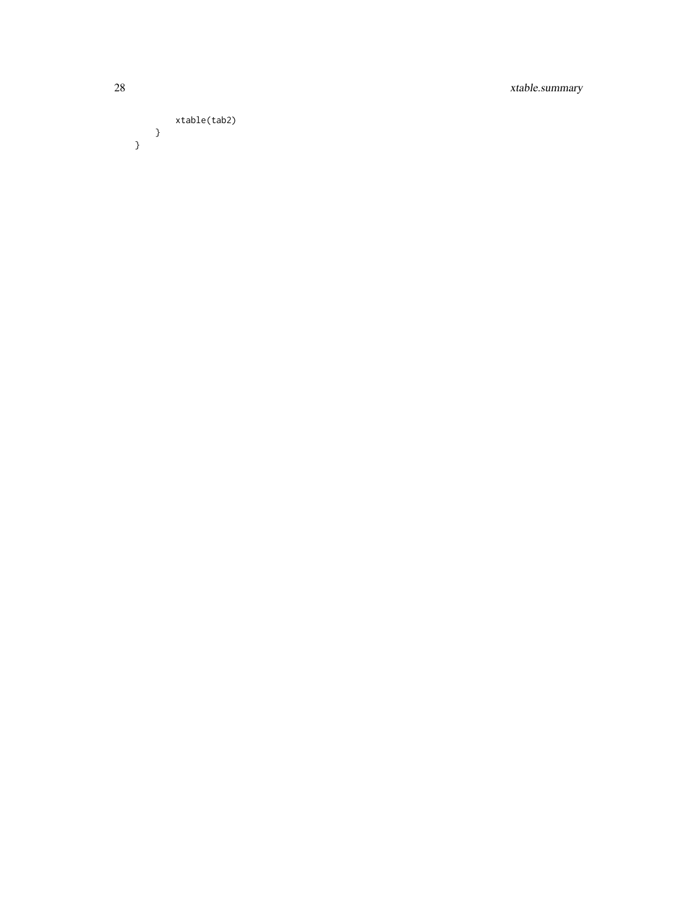28 xtable.summary

## xtable(tab2) }

}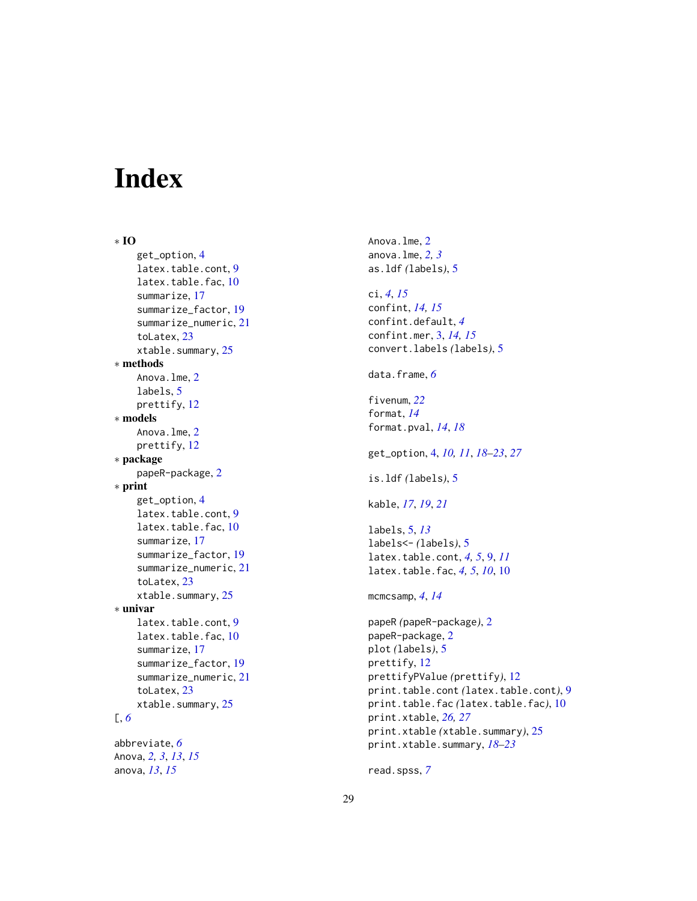# <span id="page-28-0"></span>Index

∗ IO get\_option, [4](#page-3-0) latex.table.cont, [9](#page-8-0) latex.table.fac, [10](#page-9-0) summarize, [17](#page-16-0) summarize\_factor, [19](#page-18-0) summarize\_numeric, [21](#page-20-0) toLatex, [23](#page-22-0) xtable.summary, [25](#page-24-0) ∗ methods Anova.lme, [2](#page-1-0) labels, [5](#page-4-0) prettify, [12](#page-11-0) ∗ models Anova.lme, [2](#page-1-0) prettify, [12](#page-11-0) ∗ package papeR-package, [2](#page-1-0) ∗ print get\_option, [4](#page-3-0) latex.table.cont, [9](#page-8-0) latex.table.fac, [10](#page-9-0) summarize, [17](#page-16-0) summarize\_factor, [19](#page-18-0) summarize\_numeric, [21](#page-20-0) toLatex, [23](#page-22-0) xtable.summary, [25](#page-24-0) ∗ univar latex.table.cont, [9](#page-8-0) latex.table.fac, [10](#page-9-0) summarize, [17](#page-16-0) summarize\_factor, [19](#page-18-0) summarize\_numeric, [21](#page-20-0) toLatex, [23](#page-22-0) xtable.summary, [25](#page-24-0) [, *[6](#page-5-0)* abbreviate, *[6](#page-5-0)* Anova, *[2,](#page-1-0) [3](#page-2-0)*, *[13](#page-12-0)*, *[15](#page-14-0)* anova, *[13](#page-12-0)*, *[15](#page-14-0)*

Anova.lme, [2](#page-1-0) anova.lme, *[2,](#page-1-0) [3](#page-2-0)* as.ldf *(*labels*)*, [5](#page-4-0) ci, *[4](#page-3-0)*, *[15](#page-14-0)* confint, *[14,](#page-13-0) [15](#page-14-0)* confint.default, *[4](#page-3-0)* confint.mer, [3,](#page-2-0) *[14,](#page-13-0) [15](#page-14-0)* convert.labels *(*labels*)*, [5](#page-4-0) data.frame, *[6](#page-5-0)* fivenum, *[22](#page-21-0)* format, *[14](#page-13-0)* format.pval, *[14](#page-13-0)*, *[18](#page-17-0)* get\_option, [4,](#page-3-0) *[10,](#page-9-0) [11](#page-10-0)*, *[18](#page-17-0)[–23](#page-22-0)*, *[27](#page-26-0)* is.ldf *(*labels*)*, [5](#page-4-0) kable, *[17](#page-16-0)*, *[19](#page-18-0)*, *[21](#page-20-0)* labels, [5,](#page-4-0) *[13](#page-12-0)* labels<- *(*labels*)*, [5](#page-4-0) latex.table.cont, *[4,](#page-3-0) [5](#page-4-0)*, [9,](#page-8-0) *[11](#page-10-0)* latex.table.fac, *[4,](#page-3-0) [5](#page-4-0)*, *[10](#page-9-0)*, [10](#page-9-0) mcmcsamp, *[4](#page-3-0)*, *[14](#page-13-0)* papeR *(*papeR-package*)*, [2](#page-1-0) papeR-package, [2](#page-1-0) plot *(*labels*)*, [5](#page-4-0) prettify, [12](#page-11-0) prettifyPValue *(*prettify*)*, [12](#page-11-0) print.table.cont *(*latex.table.cont*)*, [9](#page-8-0) print.table.fac *(*latex.table.fac*)*, [10](#page-9-0) print.xtable, *[26,](#page-25-0) [27](#page-26-0)* print.xtable *(*xtable.summary*)*, [25](#page-24-0) print.xtable.summary, *[18](#page-17-0)[–23](#page-22-0)*

read.spss, *[7](#page-6-0)*